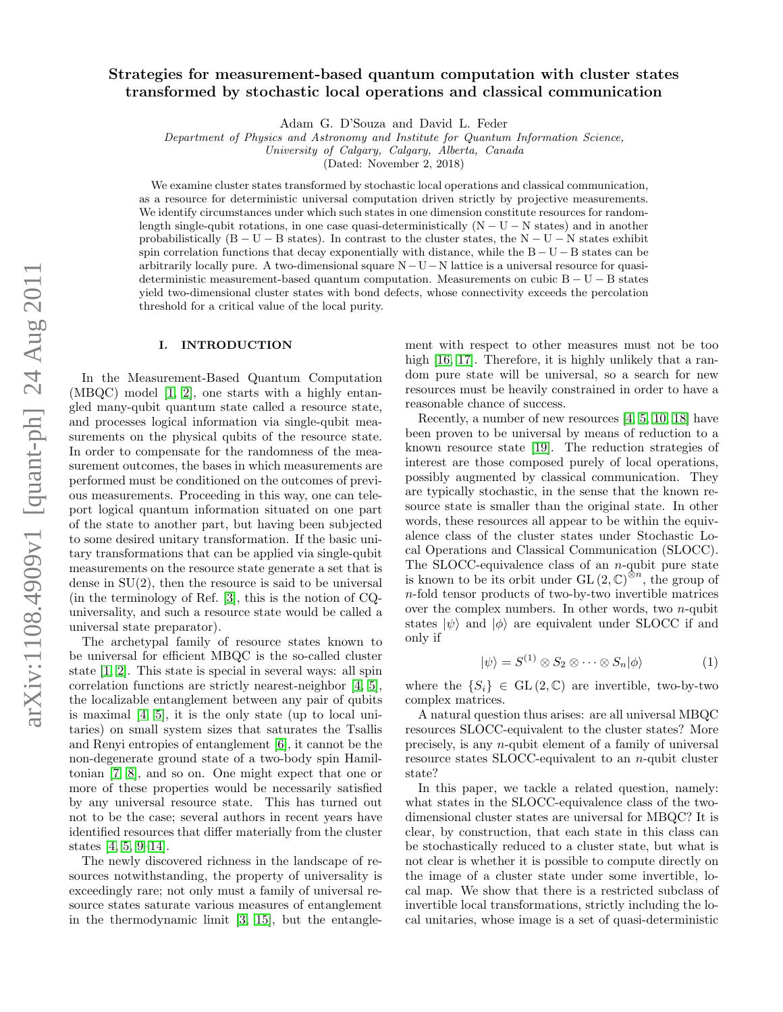# Strategies for measurement-based quantum computation with cluster states transformed by stochastic local operations and classical communication

Adam G. D'Souza and David L. Feder

Department of Physics and Astronomy and Institute for Quantum Information Science,

University of Calgary, Calgary, Alberta, Canada

(Dated: November 2, 2018)

We examine cluster states transformed by stochastic local operations and classical communication, as a resource for deterministic universal computation driven strictly by projective measurements. We identify circumstances under which such states in one dimension constitute resources for randomlength single-qubit rotations, in one case quasi-deterministically  $(N - U - N$  states) and in another probabilistically  $(B - U - B$  states). In contrast to the cluster states, the N – U – N states exhibit spin correlation functions that decay exponentially with distance, while the  $B-U-B$  states can be arbitrarily locally pure. A two-dimensional square N−U−N lattice is a universal resource for quasideterministic measurement-based quantum computation. Measurements on cubic B − U − B states yield two-dimensional cluster states with bond defects, whose connectivity exceeds the percolation threshold for a critical value of the local purity.

# I. INTRODUCTION

In the Measurement-Based Quantum Computation (MBQC) model [\[1,](#page-14-0) [2\]](#page-14-1), one starts with a highly entangled many-qubit quantum state called a resource state, and processes logical information via single-qubit measurements on the physical qubits of the resource state. In order to compensate for the randomness of the measurement outcomes, the bases in which measurements are performed must be conditioned on the outcomes of previous measurements. Proceeding in this way, one can teleport logical quantum information situated on one part of the state to another part, but having been subjected to some desired unitary transformation. If the basic unitary transformations that can be applied via single-qubit measurements on the resource state generate a set that is dense in  $SU(2)$ , then the resource is said to be universal (in the terminology of Ref. [\[3\]](#page-14-2), this is the notion of CQuniversality, and such a resource state would be called a universal state preparator).

The archetypal family of resource states known to be universal for efficient MBQC is the so-called cluster state [\[1,](#page-14-0) [2\]](#page-14-1). This state is special in several ways: all spin correlation functions are strictly nearest-neighbor [\[4,](#page-14-3) [5\]](#page-14-4), the localizable entanglement between any pair of qubits is maximal [\[4,](#page-14-3) [5\]](#page-14-4), it is the only state (up to local unitaries) on small system sizes that saturates the Tsallis and Renyi entropies of entanglement [\[6\]](#page-14-5), it cannot be the non-degenerate ground state of a two-body spin Hamiltonian [\[7,](#page-14-6) [8\]](#page-14-7), and so on. One might expect that one or more of these properties would be necessarily satisfied by any universal resource state. This has turned out not to be the case; several authors in recent years have identified resources that differ materially from the cluster states [\[4,](#page-14-3) [5,](#page-14-4) [9](#page-14-8)[–14\]](#page-15-0).

The newly discovered richness in the landscape of resources notwithstanding, the property of universality is exceedingly rare; not only must a family of universal resource states saturate various measures of entanglement in the thermodynamic limit [\[3,](#page-14-2) [15\]](#page-15-1), but the entanglement with respect to other measures must not be too high [\[16,](#page-15-2) [17\]](#page-15-3). Therefore, it is highly unlikely that a random pure state will be universal, so a search for new resources must be heavily constrained in order to have a reasonable chance of success.

Recently, a number of new resources [\[4,](#page-14-3) [5,](#page-14-4) [10,](#page-14-9) [18\]](#page-15-4) have been proven to be universal by means of reduction to a known resource state [\[19\]](#page-15-5). The reduction strategies of interest are those composed purely of local operations, possibly augmented by classical communication. They are typically stochastic, in the sense that the known resource state is smaller than the original state. In other words, these resources all appear to be within the equivalence class of the cluster states under Stochastic Local Operations and Classical Communication (SLOCC). The SLOCC-equivalence class of an  $n$ -qubit pure state is known to be its orbit under  $GL(2,\mathbb{C})^{\otimes n}$ , the group of n-fold tensor products of two-by-two invertible matrices over the complex numbers. In other words, two  $n$ -qubit states  $|\psi\rangle$  and  $|\phi\rangle$  are equivalent under SLOCC if and only if

$$
|\psi\rangle = S^{(1)} \otimes S_2 \otimes \cdots \otimes S_n |\phi\rangle \tag{1}
$$

where the  $\{S_i\} \in GL(2,\mathbb{C})$  are invertible, two-by-two complex matrices.

A natural question thus arises: are all universal MBQC resources SLOCC-equivalent to the cluster states? More precisely, is any n-qubit element of a family of universal resource states SLOCC-equivalent to an n-qubit cluster state?

In this paper, we tackle a related question, namely: what states in the SLOCC-equivalence class of the twodimensional cluster states are universal for MBQC? It is clear, by construction, that each state in this class can be stochastically reduced to a cluster state, but what is not clear is whether it is possible to compute directly on the image of a cluster state under some invertible, local map. We show that there is a restricted subclass of invertible local transformations, strictly including the local unitaries, whose image is a set of quasi-deterministic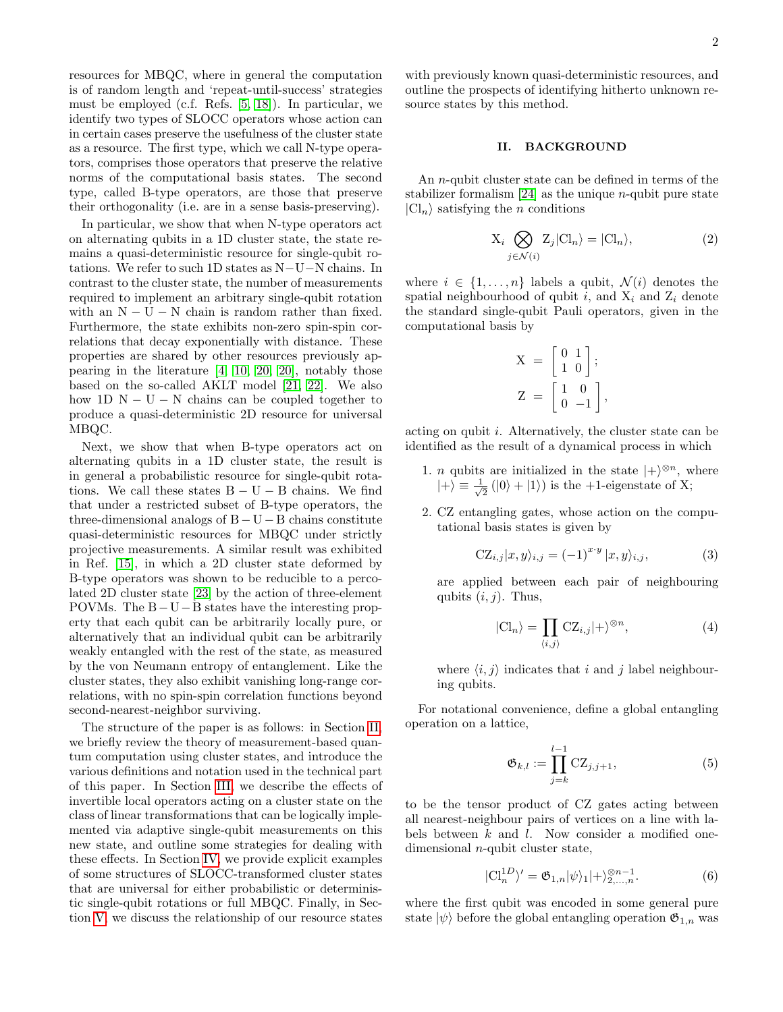resources for MBQC, where in general the computation is of random length and 'repeat-until-success' strategies must be employed (c.f. Refs. [\[5,](#page-14-4) [18\]](#page-15-4)). In particular, we identify two types of SLOCC operators whose action can in certain cases preserve the usefulness of the cluster state as a resource. The first type, which we call N-type operators, comprises those operators that preserve the relative norms of the computational basis states. The second type, called B-type operators, are those that preserve their orthogonality (i.e. are in a sense basis-preserving).

In particular, we show that when N-type operators act on alternating qubits in a 1D cluster state, the state remains a quasi-deterministic resource for single-qubit rotations. We refer to such 1D states as N−U−N chains. In contrast to the cluster state, the number of measurements required to implement an arbitrary single-qubit rotation with an  $N - U - N$  chain is random rather than fixed. Furthermore, the state exhibits non-zero spin-spin correlations that decay exponentially with distance. These properties are shared by other resources previously appearing in the literature [\[4,](#page-14-3) [10,](#page-14-9) [20, 20\]](#page-15-6), notably those based on the so-called AKLT model [\[21,](#page-15-7) [22\]](#page-15-8). We also how 1D  $N - U - N$  chains can be coupled together to produce a quasi-deterministic 2D resource for universal MBQC.

Next, we show that when B-type operators act on alternating qubits in a 1D cluster state, the result is in general a probabilistic resource for single-qubit rotations. We call these states  $B - U - B$  chains. We find that under a restricted subset of B-type operators, the three-dimensional analogs of  $B-U-B$  chains constitute quasi-deterministic resources for MBQC under strictly projective measurements. A similar result was exhibited in Ref. [\[15\]](#page-15-1), in which a 2D cluster state deformed by B-type operators was shown to be reducible to a percolated 2D cluster state [\[23\]](#page-15-9) by the action of three-element POVMs. The B−U−B states have the interesting property that each qubit can be arbitrarily locally pure, or alternatively that an individual qubit can be arbitrarily weakly entangled with the rest of the state, as measured by the von Neumann entropy of entanglement. Like the cluster states, they also exhibit vanishing long-range correlations, with no spin-spin correlation functions beyond second-nearest-neighbor surviving.

The structure of the paper is as follows: in Section [II,](#page-1-0) we briefly review the theory of measurement-based quantum computation using cluster states, and introduce the various definitions and notation used in the technical part of this paper. In Section [III,](#page-3-0) we describe the effects of invertible local operators acting on a cluster state on the class of linear transformations that can be logically implemented via adaptive single-qubit measurements on this new state, and outline some strategies for dealing with these effects. In Section [IV,](#page-9-0) we provide explicit examples of some structures of SLOCC-transformed cluster states that are universal for either probabilistic or deterministic single-qubit rotations or full MBQC. Finally, in Section [V,](#page-13-0) we discuss the relationship of our resource states

with previously known quasi-deterministic resources, and outline the prospects of identifying hitherto unknown resource states by this method.

#### <span id="page-1-0"></span>II. BACKGROUND

An n-qubit cluster state can be defined in terms of the stabilizer formalism  $[24]$  as the unique *n*-qubit pure state  $|Cl_n\rangle$  satisfying the *n* conditions

<span id="page-1-1"></span>
$$
X_i \bigotimes_{j \in \mathcal{N}(i)} Z_j |Cl_n\rangle = |Cl_n\rangle, \tag{2}
$$

where  $i \in \{1, \ldots, n\}$  labels a qubit,  $\mathcal{N}(i)$  denotes the spatial neighbourhood of qubit i, and  $X_i$  and  $Z_i$  denote the standard single-qubit Pauli operators, given in the computational basis by

$$
X = \begin{bmatrix} 0 & 1 \\ 1 & 0 \end{bmatrix};
$$
  

$$
Z = \begin{bmatrix} 1 & 0 \\ 0 & -1 \end{bmatrix},
$$

acting on qubit i. Alternatively, the cluster state can be identified as the result of a dynamical process in which

- 1. *n* qubits are initialized in the state  $|+\rangle^{\otimes n}$ , where  $|+\rangle \equiv \frac{1}{\sqrt{2}}$  $\frac{1}{2}$  (|0) + |1)) is the +1-eigenstate of X;
- 2. CZ entangling gates, whose action on the computational basis states is given by

$$
CZ_{i,j}|x,y\rangle_{i,j} = (-1)^{x \cdot y} |x,y\rangle_{i,j},\tag{3}
$$

are applied between each pair of neighbouring qubits  $(i, j)$ . Thus,

<span id="page-1-2"></span>
$$
|Cl_n\rangle = \prod_{\langle i,j\rangle} CZ_{i,j}|+\rangle^{\otimes n},\tag{4}
$$

where  $\langle i, j \rangle$  indicates that i and j label neighbouring qubits.

For notational convenience, define a global entangling operation on a lattice,

$$
\mathfrak{G}_{k,l} := \prod_{j=k}^{l-1} \mathbf{CZ}_{j,j+1},\tag{5}
$$

to be the tensor product of CZ gates acting between all nearest-neighbour pairs of vertices on a line with labels between  $k$  and  $l$ . Now consider a modified onedimensional n-qubit cluster state,

$$
|\mathcal{C}\mathcal{L}_{n}^{1D}\rangle' = \mathfrak{G}_{1,n}|\psi\rangle_{1}|+\rangle_{2,...,n}^{\otimes n-1}.
$$
 (6)

where the first qubit was encoded in some general pure state  $|\psi\rangle$  before the global entangling operation  $\mathfrak{G}_{1,n}$  was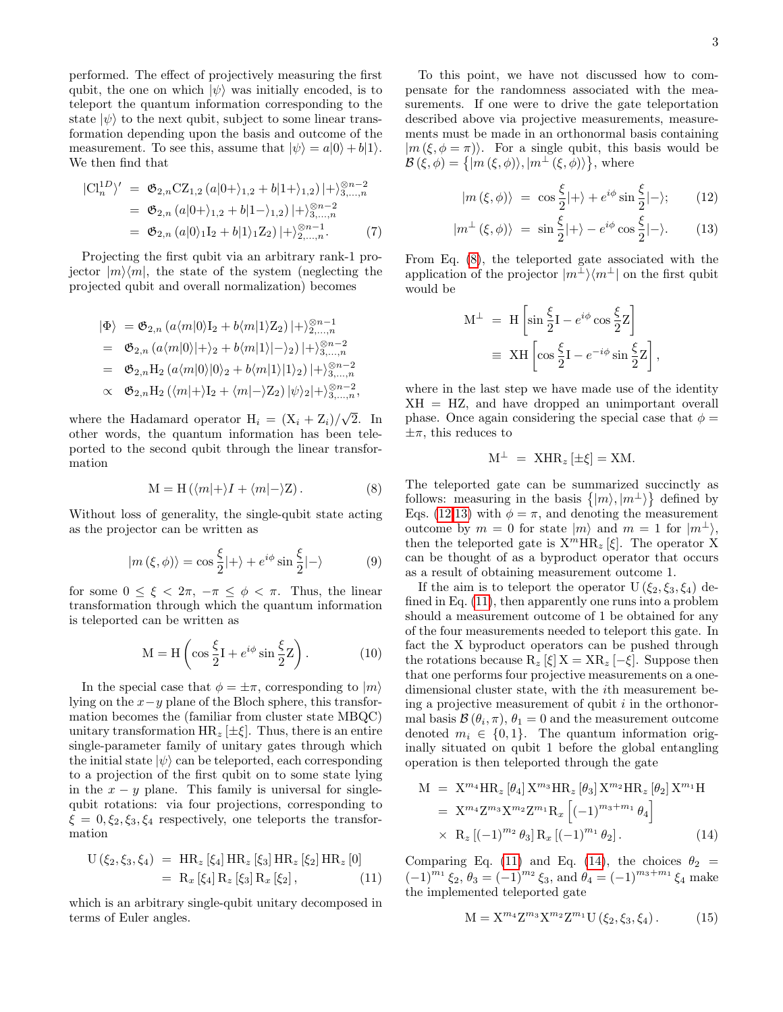performed. The effect of projectively measuring the first qubit, the one on which  $|\psi\rangle$  was initially encoded, is to teleport the quantum information corresponding to the state  $|\psi\rangle$  to the next qubit, subject to some linear transformation depending upon the basis and outcome of the measurement. To see this, assume that  $|\psi\rangle = a|0\rangle + b|1\rangle$ . We then find that

<span id="page-2-4"></span>
$$
|Cl_{n}^{1D}' = \mathfrak{G}_{2,n}CZ_{1,2}(a|0+\rangle_{1,2}+b|1+\rangle_{1,2})|+\rangle_{3,...,n}^{\otimes n-2}
$$
  
=  $\mathfrak{G}_{2,n}(a|0+\rangle_{1,2}+b|1-\rangle_{1,2})|+\rangle_{3,...,n}^{\otimes n-2}$   
=  $\mathfrak{G}_{2,n}(a|0\rangle_{1}I_{2}+b|1\rangle_{1}Z_{2})|+\rangle_{2,...,n}^{\otimes n-1}$ . (7)

Projecting the first qubit via an arbitrary rank-1 projector  $|m\rangle\langle m|$ , the state of the system (neglecting the projected qubit and overall normalization) becomes

$$
\begin{aligned}\n|\Phi\rangle &= \mathfrak{G}_{2,n} \left( a \langle m|0 \rangle I_2 + b \langle m|1 \rangle Z_2 \right) |+ \rangle_{2,...,n}^{\otimes n-1} \\
&= \mathfrak{G}_{2,n} \left( a \langle m|0 \rangle |+ \rangle_2 + b \langle m|1 \rangle |- \rangle_2 \right) |+ \rangle_{3,...,n}^{\otimes n-2} \\
&= \mathfrak{G}_{2,n} H_2 \left( a \langle m|0 \rangle |0 \rangle_2 + b \langle m|1 \rangle |1 \rangle_2 \right) |+ \rangle_{3,...,n}^{\otimes n-2} \\
&\propto \mathfrak{G}_{2,n} H_2 \left( \langle m|+ \rangle I_2 + \langle m|-\rangle Z_2 \right) |\psi\rangle_2 |+ \rangle_{3,...,n}^{\otimes n-2},\n\end{aligned}
$$

where the Hadamard operator  $H_i = (X_i + Z_i)/\sqrt{2}$ √ 2. In other words, the quantum information has been teleported to the second qubit through the linear transformation

<span id="page-2-0"></span>
$$
M = H(\langle m|+\rangle I + \langle m|-\rangle Z). \tag{8}
$$

Without loss of generality, the single-qubit state acting as the projector can be written as

$$
|m(\xi,\phi)\rangle = \cos\frac{\xi}{2}|+\rangle + e^{i\phi}\sin\frac{\xi}{2}|-\rangle \tag{9}
$$

for some  $0 \leq \xi < 2\pi$ ,  $-\pi \leq \phi < \pi$ . Thus, the linear transformation through which the quantum information is teleported can be written as

$$
M = H\left(\cos\frac{\xi}{2}I + e^{i\phi}\sin\frac{\xi}{2}Z\right). \tag{10}
$$

In the special case that  $\phi = \pm \pi$ , corresponding to  $|m\rangle$ lying on the x−y plane of the Bloch sphere, this transformation becomes the (familiar from cluster state MBQC) unitary transformation  $HR_z [\pm \xi]$ . Thus, there is an entire single-parameter family of unitary gates through which the initial state  $|\psi\rangle$  can be teleported, each corresponding to a projection of the first qubit on to some state lying in the  $x - y$  plane. This family is universal for singlequbit rotations: via four projections, corresponding to  $\xi = 0, \xi_2, \xi_3, \xi_4$  respectively, one teleports the transformation

<span id="page-2-2"></span>
$$
U(\xi_2, \xi_3, \xi_4) = HR_z [\xi_4] HR_z [\xi_3] HR_z [\xi_2] HR_z [0]
$$
  
= R\_x [\xi\_4] R\_z [\xi\_3] R\_x [\xi\_2], (11)

which is an arbitrary single-qubit unitary decomposed in terms of Euler angles.

To this point, we have not discussed how to compensate for the randomness associated with the measurements. If one were to drive the gate teleportation described above via projective measurements, measurements must be made in an orthonormal basis containing  $|m (\xi, \phi = \pi)$ . For a single qubit, this basis would be  $\mathcal{B}(\xi,\phi) = \{ |m(\xi,\phi)\rangle, |m(\xi,\phi)\rangle \},$  where

$$
|m(\xi,\phi)\rangle = \cos\frac{\xi}{2}|+\rangle + e^{i\phi}\sin\frac{\xi}{2}|-\rangle; \qquad (12)
$$

<span id="page-2-1"></span>
$$
|m^{\perp}(\xi,\phi)\rangle = \sin\frac{\xi}{2}|+\rangle - e^{i\phi}\cos\frac{\xi}{2}|-\rangle. \quad (13)
$$

,

From Eq. [\(8\)](#page-2-0), the teleported gate associated with the application of the projector  $|m^\perp\rangle\langle m^\perp|$  on the first qubit would be

$$
M^{\perp} = H \left[ \sin \frac{\xi}{2} I - e^{i\phi} \cos \frac{\xi}{2} Z \right]
$$

$$
\equiv XH \left[ \cos \frac{\xi}{2} I - e^{-i\phi} \sin \frac{\xi}{2} Z \right]
$$

where in the last step we have made use of the identity XH = HZ, and have dropped an unimportant overall phase. Once again considering the special case that  $\phi =$  $\pm\pi$ , this reduces to

$$
M^{\perp} = XHR_z [\pm \xi] = XM.
$$

The teleported gate can be summarized succinctly as follows: measuring in the basis  $\{|m\rangle, |m^{\perp}\rangle\}$  defined by Eqs. [\(12,13\)](#page-2-1) with  $\phi = \pi$ , and denoting the measurement outcome by  $m = 0$  for state  $|m\rangle$  and  $m = 1$  for  $|m^{\perp}\rangle$ , then the teleported gate is  $X^mHR_z$  [ξ]. The operator X can be thought of as a byproduct operator that occurs as a result of obtaining measurement outcome 1.

If the aim is to teleport the operator  $U(\xi_2, \xi_3, \xi_4)$  defined in Eq. [\(11\)](#page-2-2), then apparently one runs into a problem should a measurement outcome of 1 be obtained for any of the four measurements needed to teleport this gate. In fact the X byproduct operators can be pushed through the rotations because  $R_z [\xi] X = X R_z [-\xi]$ . Suppose then that one performs four projective measurements on a onedimensional cluster state, with the ith measurement being a projective measurement of qubit  $i$  in the orthonormal basis  $\mathcal{B}(\theta_i, \pi), \theta_1 = 0$  and the measurement outcome denoted  $m_i \in \{0,1\}$ . The quantum information originally situated on qubit 1 before the global entangling operation is then teleported through the gate

<span id="page-2-3"></span>
$$
M = X^{m_4}HR_z [\theta_4] X^{m_3}HR_z [\theta_3] X^{m_2}HR_z [\theta_2] X^{m_1}H
$$
  
=  $X^{m_4}Z^{m_3}X^{m_2}Z^{m_1}R_x [(-1)^{m_3+m_1} \theta_4]$   
×  $R_z [(-1)^{m_2} \theta_3] R_x [(-1)^{m_1} \theta_2].$  (14)

Comparing Eq. [\(11\)](#page-2-2) and Eq. [\(14\)](#page-2-3), the choices  $\theta_2$  =  $(-1)^{m_1} \xi_2$ ,  $\theta_3 = (-1)^{m_2} \xi_3$ , and  $\theta_4 = (-1)^{m_3+m_1} \xi_4$  make the implemented teleported gate

$$
M = X^{m_4} Z^{m_3} X^{m_2} Z^{m_1} U(\xi_2, \xi_3, \xi_4).
$$
 (15)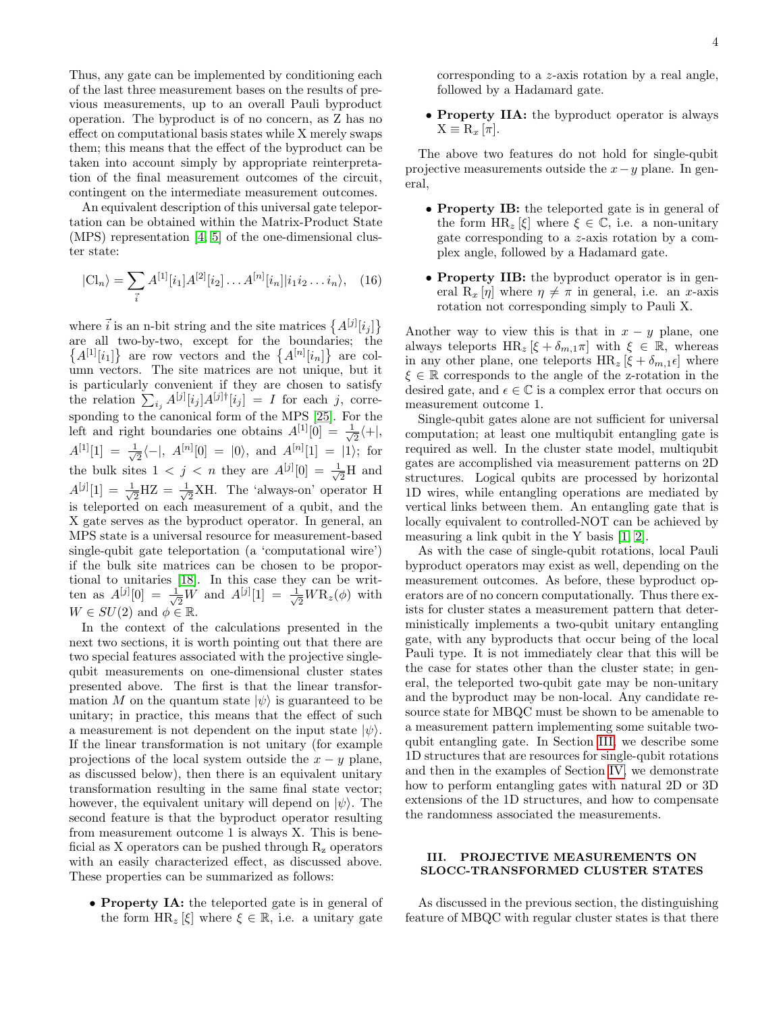Thus, any gate can be implemented by conditioning each of the last three measurement bases on the results of previous measurements, up to an overall Pauli byproduct operation. The byproduct is of no concern, as Z has no effect on computational basis states while X merely swaps them; this means that the effect of the byproduct can be taken into account simply by appropriate reinterpretation of the final measurement outcomes of the circuit, contingent on the intermediate measurement outcomes.

An equivalent description of this universal gate teleportation can be obtained within the Matrix-Product State (MPS) representation [\[4,](#page-14-3) [5\]](#page-14-4) of the one-dimensional cluster state:

<span id="page-3-1"></span>
$$
|Cl_n\rangle = \sum_{\vec{i}} A^{[1]}[i_1]A^{[2]}[i_2] \dots A^{[n]}[i_n]|i_1i_2\dots i_n\rangle, \quad (16)
$$

where  $\vec{i}$  is an n-bit string and the site matrices  $\{A^{[j]}[i_j]\}$ are all two-by-two, except for the boundaries; the  $\{A^{[1]}[i_1]\}$  are row vectors and the  $\{A^{[n]}[i_n]\}$  are column vectors. The site matrices are not unique, but it is particularly convenient if they are chosen to satisfy the relation  $\sum_{i_j} A^{[j]}[i_j] A^{[j]\dagger}[i_j] = I$  for each j, corresponding to the canonical form of the MPS [\[25\]](#page-15-11). For the left and right boundaries one obtains  $A^{[1]}[0] = \frac{1}{\sqrt{2}}$  $\frac{1}{2}\langle +|,$  $A^{[1]}[1] = \frac{1}{\sqrt{2}}$  $\frac{1}{2} \langle - |, A^{[n]}[0] = |0 \rangle$ , and  $A^{[n]}[1] = |1 \rangle$ ; for the bulk sites  $1 \leq j \leq n$  they are  $A^{[j]}[0] = \frac{1}{\sqrt{n}}$  $\overline{2}^{\mathrm{H}}$  and  $A^{[j]}[1] = \frac{1}{\sqrt{2}}$  $\frac{1}{2}$ HZ =  $\frac{1}{\sqrt{2}}$  $\frac{1}{2}$ XH. The 'always-on' operator H is teleported on each measurement of a qubit, and the X gate serves as the byproduct operator. In general, an MPS state is a universal resource for measurement-based single-qubit gate teleportation (a 'computational wire') if the bulk site matrices can be chosen to be proportional to unitaries [\[18\]](#page-15-4). In this case they can be written as  $A^{[j]}[0] = \frac{1}{\sqrt{2}} W$  and  $A^{[j]}[1] = \frac{1}{\sqrt{2}} W R_z(\phi)$  with  $W \in SU(2)$  and  $\phi \in \mathbb{R}$ .

In the context of the calculations presented in the next two sections, it is worth pointing out that there are two special features associated with the projective singlequbit measurements on one-dimensional cluster states presented above. The first is that the linear transformation M on the quantum state  $|\psi\rangle$  is guaranteed to be unitary; in practice, this means that the effect of such a measurement is not dependent on the input state  $|\psi\rangle$ . If the linear transformation is not unitary (for example projections of the local system outside the  $x - y$  plane, as discussed below), then there is an equivalent unitary transformation resulting in the same final state vector; however, the equivalent unitary will depend on  $|\psi\rangle$ . The second feature is that the byproduct operator resulting from measurement outcome 1 is always X. This is beneficial as X operators can be pushed through  $R_z$  operators with an easily characterized effect, as discussed above. These properties can be summarized as follows:

• **Property IA:** the teleported gate is in general of the form  $HR_z[\xi]$  where  $\xi \in \mathbb{R}$ , i.e. a unitary gate corresponding to a z-axis rotation by a real angle, followed by a Hadamard gate.

• Property IIA: the byproduct operator is always  $X \equiv R_r [\pi].$ 

The above two features do not hold for single-qubit projective measurements outside the  $x-y$  plane. In general,

- Property IB: the teleported gate is in general of the form  $HR_z[\xi]$  where  $\xi \in \mathbb{C}$ , i.e. a non-unitary gate corresponding to a z-axis rotation by a complex angle, followed by a Hadamard gate.
- Property IIB: the byproduct operator is in general  $\mathrm{R}_x[\eta]$  where  $\eta \neq \pi$  in general, i.e. an x-axis rotation not corresponding simply to Pauli X.

Another way to view this is that in  $x - y$  plane, one always teleports  $HR_z [\xi + \delta_{m,1} \pi]$  with  $\xi \in \mathbb{R}$ , whereas in any other plane, one teleports  $HR_z [\xi + \delta_{m,1} \epsilon]$  where  $\xi \in \mathbb{R}$  corresponds to the angle of the z-rotation in the desired gate, and  $\epsilon \in \mathbb{C}$  is a complex error that occurs on measurement outcome 1.

Single-qubit gates alone are not sufficient for universal computation; at least one multiqubit entangling gate is required as well. In the cluster state model, multiqubit gates are accomplished via measurement patterns on 2D structures. Logical qubits are processed by horizontal 1D wires, while entangling operations are mediated by vertical links between them. An entangling gate that is locally equivalent to controlled-NOT can be achieved by measuring a link qubit in the Y basis [\[1,](#page-14-0) [2\]](#page-14-1).

As with the case of single-qubit rotations, local Pauli byproduct operators may exist as well, depending on the measurement outcomes. As before, these byproduct operators are of no concern computationally. Thus there exists for cluster states a measurement pattern that deterministically implements a two-qubit unitary entangling gate, with any byproducts that occur being of the local Pauli type. It is not immediately clear that this will be the case for states other than the cluster state; in general, the teleported two-qubit gate may be non-unitary and the byproduct may be non-local. Any candidate resource state for MBQC must be shown to be amenable to a measurement pattern implementing some suitable twoqubit entangling gate. In Section [III,](#page-3-0) we describe some 1D structures that are resources for single-qubit rotations and then in the examples of Section [IV,](#page-9-0) we demonstrate how to perform entangling gates with natural 2D or 3D extensions of the 1D structures, and how to compensate the randomness associated the measurements.

# <span id="page-3-0"></span>III. PROJECTIVE MEASUREMENTS ON SLOCC-TRANSFORMED CLUSTER STATES

As discussed in the previous section, the distinguishing feature of MBQC with regular cluster states is that there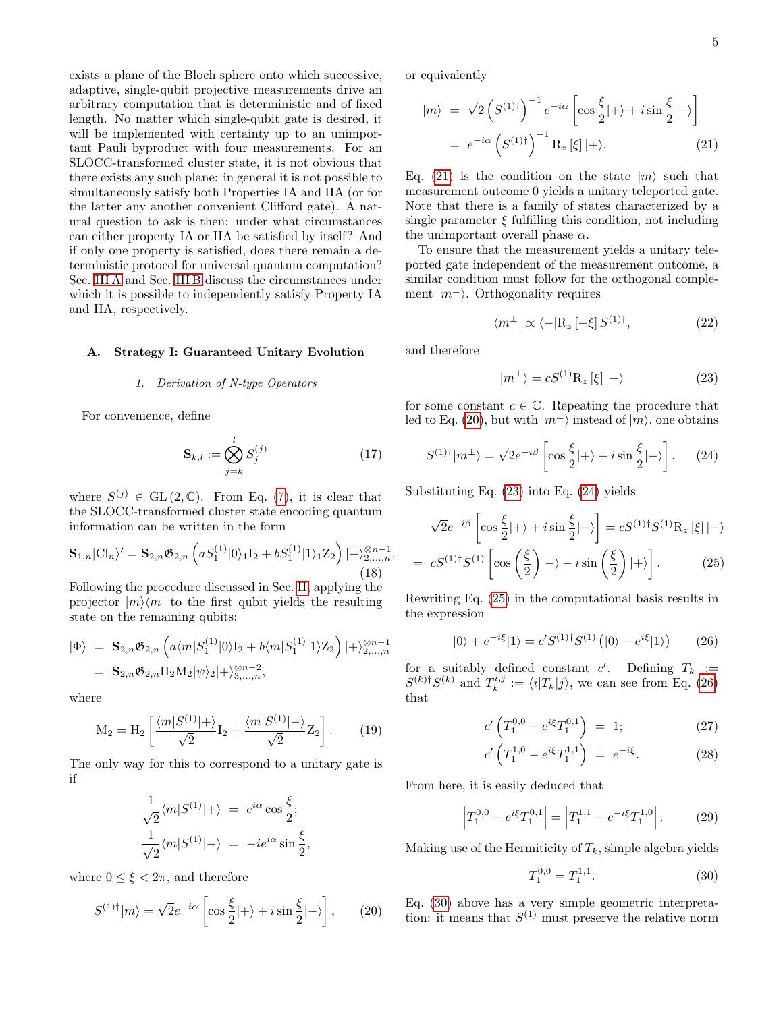exists a plane of the Bloch sphere onto which successive, adaptive, single-qubit projective measurements drive an arbitrary computation that is deterministic and of fixed length. No matter which single-qubit gate is desired, it will be implemented with certainty up to an unimportant Pauli byproduct with four measurements. For an SLOCC-transformed cluster state, it is not obvious that there exists any such plane: in general it is not possible to simultaneously satisfy both Properties IA and IIA (or for the latter any another convenient Clifford gate). A natural question to ask is then: under what circumstances can either property IA or IIA be satisfied by itself? And if only one property is satisfied, does there remain a deterministic protocol for universal quantum computation? Sec. [III A](#page-4-0) and Sec. [III B](#page-7-0) discuss the circumstances under which it is possible to independently satisfy Property IA and IIA, respectively.

# <span id="page-4-0"></span>A. Strategy I: Guaranteed Unitary Evolution

#### 1. Derivation of N-type Operators

For convenience, define

$$
\mathbf{S}_{k,l} := \bigotimes_{j=k}^{l} S_j^{(j)} \tag{17}
$$

where  $S^{(j)} \in GL(2,\mathbb{C})$ . From Eq. [\(7\)](#page-2-4), it is clear that the SLOCC-transformed cluster state encoding quantum information can be written in the form

$$
\mathbf{S}_{1,n}|\mathrm{Cl}_n\rangle' = \mathbf{S}_{2,n}\mathfrak{G}_{2,n}\left(aS_1^{(1)}|0\rangle_1\mathbf{I}_2 + bS_1^{(1)}|1\rangle_1\mathbf{Z}_2\right)|+\rangle_{2,...,n}^{\otimes n-1}.
$$
\n(18)

Following the procedure discussed in Sec. [II,](#page-1-0) applying the projector  $|m\rangle\langle m|$  to the first qubit yields the resulting state on the remaining qubits:

$$
\begin{array}{lcl} |\Phi\rangle &= \textbf{S}_{2,n} \mathfrak{G}_{2,n} \left( a \langle m | S_1^{(1)} | 0 \rangle I_2 + b \langle m | S_1^{(1)} | 1 \rangle Z_2 \right) | + \rangle_{2,...,n}^{\otimes n-1} \\ &= \textbf{S}_{2,n} \mathfrak{G}_{2,n} H_2 M_2 | \psi \rangle_2 | + \rangle_{3,...,n}^{\otimes n-2}, \end{array}
$$

where

<span id="page-4-8"></span>
$$
M_2 = H_2 \left[ \frac{\langle m | S^{(1)} | + \rangle}{\sqrt{2}} I_2 + \frac{\langle m | S^{(1)} | - \rangle}{\sqrt{2}} Z_2 \right].
$$
 (19)

The only way for this to correspond to a unitary gate is if

$$
\frac{1}{\sqrt{2}}\langle m|S^{(1)}|+\rangle = e^{i\alpha}\cos\frac{\xi}{2};
$$
  

$$
\frac{1}{\sqrt{2}}\langle m|S^{(1)}|-\rangle = -ie^{i\alpha}\sin\frac{\xi}{2},
$$

where  $0 \leq \xi < 2\pi$ , and therefore

<span id="page-4-2"></span>
$$
S^{(1)\dagger}|m\rangle = \sqrt{2}e^{-i\alpha} \left[ \cos\frac{\xi}{2}|+\rangle + i\sin\frac{\xi}{2}|-\rangle \right],\qquad(20)
$$

or equivalently

<span id="page-4-1"></span>
$$
|m\rangle = \sqrt{2} \left( S^{(1)\dagger} \right)^{-1} e^{-i\alpha} \left[ \cos \frac{\xi}{2} |+\rangle + i \sin \frac{\xi}{2} |-\rangle \right]
$$

$$
= e^{-i\alpha} \left( S^{(1)\dagger} \right)^{-1} R_z [\xi] |+\rangle. \tag{21}
$$

Eq. [\(21\)](#page-4-1) is the condition on the state  $|m\rangle$  such that measurement outcome 0 yields a unitary teleported gate. Note that there is a family of states characterized by a single parameter  $\xi$  fulfilling this condition, not including the unimportant overall phase  $\alpha$ .

To ensure that the measurement yields a unitary teleported gate independent of the measurement outcome, a similar condition must follow for the orthogonal complement  $|m^{\perp}\rangle$ . Orthogonality requires

$$
\langle m^{\perp} \vert \propto \langle - \vert R_z \left[ -\xi \right] S^{(1)\dagger}, \tag{22}
$$

and therefore

<span id="page-4-3"></span>
$$
|m^{\perp}\rangle = cS^{(1)}\mathcal{R}_z\left[\xi\right]|-\rangle\tag{23}
$$

for some constant  $c \in \mathbb{C}$ . Repeating the procedure that led to Eq. [\(20\)](#page-4-2), but with  $|m^{\perp}\rangle$  instead of  $|m\rangle$ , one obtains

<span id="page-4-4"></span>
$$
S^{(1)\dagger}|m^{\perp}\rangle = \sqrt{2}e^{-i\beta}\left[\cos\frac{\xi}{2}|+\rangle + i\sin\frac{\xi}{2}|-\rangle\right].\tag{24}
$$

Substituting Eq. [\(23\)](#page-4-3) into Eq. [\(24\)](#page-4-4) yields

<span id="page-4-5"></span>
$$
\sqrt{2}e^{-i\beta}\left[\cos\frac{\xi}{2}|+\rangle+i\sin\frac{\xi}{2}|- \rangle\right] = cS^{(1)\dagger}S^{(1)}\mathcal{R}_z\left[\xi\right]|-\rangle
$$

$$
= cS^{(1)\dagger}S^{(1)}\left[\cos\left(\frac{\xi}{2}\right)|-\rangle-i\sin\left(\frac{\xi}{2}\right)|+\rangle\right].
$$
(25)

Rewriting Eq. [\(25\)](#page-4-5) in the computational basis results in the expression

<span id="page-4-6"></span>
$$
|0\rangle + e^{-i\xi}|1\rangle = c'S^{(1)\dagger}S^{(1)}(|0\rangle - e^{i\xi}|1\rangle)
$$
 (26)

for a suitably defined constant  $c'$ . Defining  $T_k :=$  $S^{(k)\dagger}S^{(k)}$  and  $T_k^{i,j} := \langle i|T_k|j\rangle$ , we can see from Eq. [\(26\)](#page-4-6) that

$$
c'\left(T_1^{0,0} - e^{i\xi}T_1^{0,1}\right) = 1; \tag{27}
$$

$$
c'\left(T_1^{1,0} - e^{i\xi} T_1^{1,1}\right) = e^{-i\xi}.\tag{28}
$$

From here, it is easily deduced that

$$
\left| T_1^{0,0} - e^{i\xi} T_1^{0,1} \right| = \left| T_1^{1,1} - e^{-i\xi} T_1^{1,0} \right|.
$$
 (29)

Making use of the Hermiticity of  $T_k$ , simple algebra yields

<span id="page-4-7"></span>
$$
T_1^{0,0} = T_1^{1,1}.\tag{30}
$$

Eq. [\(30\)](#page-4-7) above has a very simple geometric interpretation: it means that  $S^{(1)}$  must preserve the relative norm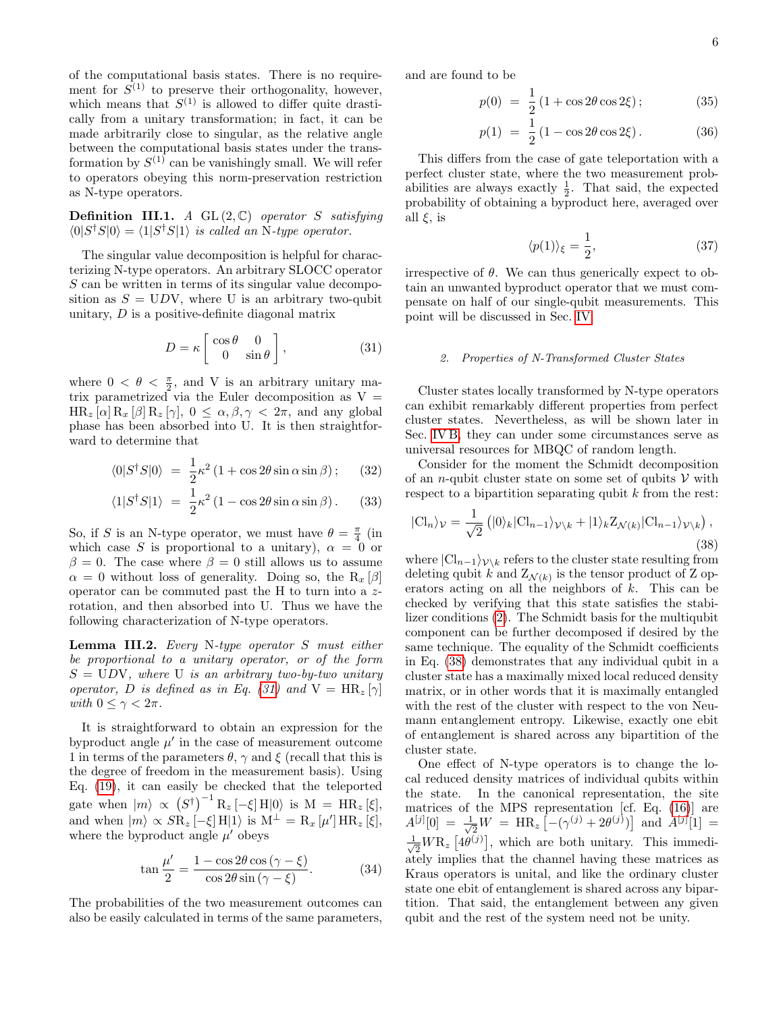of the computational basis states. There is no requirement for  $S^{(1)}$  to preserve their orthogonality, however, which means that  $S^{(1)}$  is allowed to differ quite drastically from a unitary transformation; in fact, it can be made arbitrarily close to singular, as the relative angle between the computational basis states under the transformation by  $S^{(1)}$  can be vanishingly small. We will refer to operators obeying this norm-preservation restriction as N-type operators.

**Definition III.1.** A GL $(2, \mathbb{C})$  operator S satisfying  $\langle 0|S^{\dagger}S|0\rangle = \langle 1|S^{\dagger}S|1\rangle$  is called an N-type operator.

The singular value decomposition is helpful for characterizing N-type operators. An arbitrary SLOCC operator S can be written in terms of its singular value decomposition as  $S = UDV$ , where U is an arbitrary two-qubit unitary,  $D$  is a positive-definite diagonal matrix

<span id="page-5-0"></span>
$$
D = \kappa \begin{bmatrix} \cos \theta & 0\\ 0 & \sin \theta \end{bmatrix}, \tag{31}
$$

where  $0 < \theta < \frac{\pi}{2}$ , and V is an arbitrary unitary matrix parametrized via the Euler decomposition as  $V =$  $HR_z[\alpha] R_x[\beta] R_z[\gamma], 0 \leq \alpha, \beta, \gamma < 2\pi$ , and any global phase has been absorbed into U. It is then straightforward to determine that

$$
\langle 0|S^{\dagger}S|0\rangle = \frac{1}{2}\kappa^2 (1 + \cos 2\theta \sin \alpha \sin \beta); \quad (32)
$$

$$
\langle 1|S^{\dagger}S|1\rangle = \frac{1}{2}\kappa^2 (1 - \cos 2\theta \sin \alpha \sin \beta). \quad (33)
$$

So, if S is an N-type operator, we must have  $\theta = \frac{\pi}{4}$  (in which case S is proportional to a unitary),  $\alpha = 0$  or  $\beta = 0$ . The case where  $\beta = 0$  still allows us to assume  $\alpha = 0$  without loss of generality. Doing so, the R<sub>x</sub> [β] operator can be commuted past the H to turn into a zrotation, and then absorbed into U. Thus we have the following characterization of N-type operators.

Lemma III.2. Every N-type operator S must either be proportional to a unitary operator, or of the form  $S = UDV$ , where U is an arbitrary two-by-two unitary operator, D is defined as in Eq. [\(31\)](#page-5-0) and  $V = HR_z[\gamma]$ with  $0 \leq \gamma < 2\pi$ .

It is straightforward to obtain an expression for the by product angle  $\mu'$  in the case of measurement outcome 1 in terms of the parameters  $\theta$ ,  $\gamma$  and  $\xi$  (recall that this is the degree of freedom in the measurement basis). Using Eq. [\(19\)](#page-4-8), it can easily be checked that the teleported gate when  $|m\rangle \propto (S^{\dagger})^{-1} R_z [-\xi] H |0\rangle$  is  $M = HR_z [\xi],$ and when  $|m\rangle \propto SR_z[-\xi] H|1\rangle$  is  $M^{\perp} = R_x [\mu'] HR_z [\xi],$ where the byproduct angle  $\mu'$  obeys

<span id="page-5-3"></span>
$$
\tan\frac{\mu'}{2} = \frac{1 - \cos 2\theta \cos(\gamma - \xi)}{\cos 2\theta \sin(\gamma - \xi)}.
$$
 (34)

The probabilities of the two measurement outcomes can also be easily calculated in terms of the same parameters,

and are found to be

$$
p(0) = \frac{1}{2} (1 + \cos 2\theta \cos 2\xi); \tag{35}
$$

$$
p(1) = \frac{1}{2} (1 - \cos 2\theta \cos 2\xi).
$$
 (36)

This differs from the case of gate teleportation with a perfect cluster state, where the two measurement probabilities are always exactly  $\frac{1}{2}$ . That said, the expected probability of obtaining a byproduct here, averaged over all  $\xi$ , is

$$
\langle p(1) \rangle_{\xi} = \frac{1}{2},\tag{37}
$$

irrespective of  $\theta$ . We can thus generically expect to obtain an unwanted byproduct operator that we must compensate on half of our single-qubit measurements. This point will be discussed in Sec. [IV.](#page-9-0)

### <span id="page-5-2"></span>2. Properties of N-Transformed Cluster States

Cluster states locally transformed by N-type operators can exhibit remarkably different properties from perfect cluster states. Nevertheless, as will be shown later in Sec. [IV B,](#page-10-0) they can under some circumstances serve as universal resources for MBQC of random length.

Consider for the moment the Schmidt decomposition of an *n*-qubit cluster state on some set of qubits  $V$  with respect to a bipartition separating qubit  $k$  from the rest:

<span id="page-5-1"></span>
$$
|Cl_n\rangle_{\mathcal{V}} = \frac{1}{\sqrt{2}} (|0\rangle_k |Cl_{n-1}\rangle_{\mathcal{V}\backslash k} + |1\rangle_k Z_{\mathcal{N}(k)} |Cl_{n-1}\rangle_{\mathcal{V}\backslash k}),
$$
\n(38)

where  $|\text{Cl}_{n-1}\rangle_{\mathcal{V}\backslash k}$  refers to the cluster state resulting from deleting qubit k and  $Z_{\mathcal{N}(k)}$  is the tensor product of Z operators acting on all the neighbors of k. This can be checked by verifying that this state satisfies the stabilizer conditions [\(2\)](#page-1-1). The Schmidt basis for the multiqubit component can be further decomposed if desired by the same technique. The equality of the Schmidt coefficients in Eq. [\(38\)](#page-5-1) demonstrates that any individual qubit in a cluster state has a maximally mixed local reduced density matrix, or in other words that it is maximally entangled with the rest of the cluster with respect to the von Neumann entanglement entropy. Likewise, exactly one ebit of entanglement is shared across any bipartition of the cluster state.

One effect of N-type operators is to change the local reduced density matrices of individual qubits within the state. In the canonical representation, the site matrices of the MPS representation [cf. Eq. [\(16\)](#page-3-1)] are  $A^{[j]}[0] = \frac{1}{\sqrt{2}}W = HR_z \left[ -(\gamma^{(j)} + 2\theta^{(j)}) \right]$  and  $A^{[j]}[1] =$  $\frac{1}{\sqrt{2}}W\mathbf{R}_z$  [4 $\theta^{(j)}$ ], which are both unitary. This immediately implies that the channel having these matrices as Kraus operators is unital, and like the ordinary cluster state one ebit of entanglement is shared across any bipartition. That said, the entanglement between any given qubit and the rest of the system need not be unity.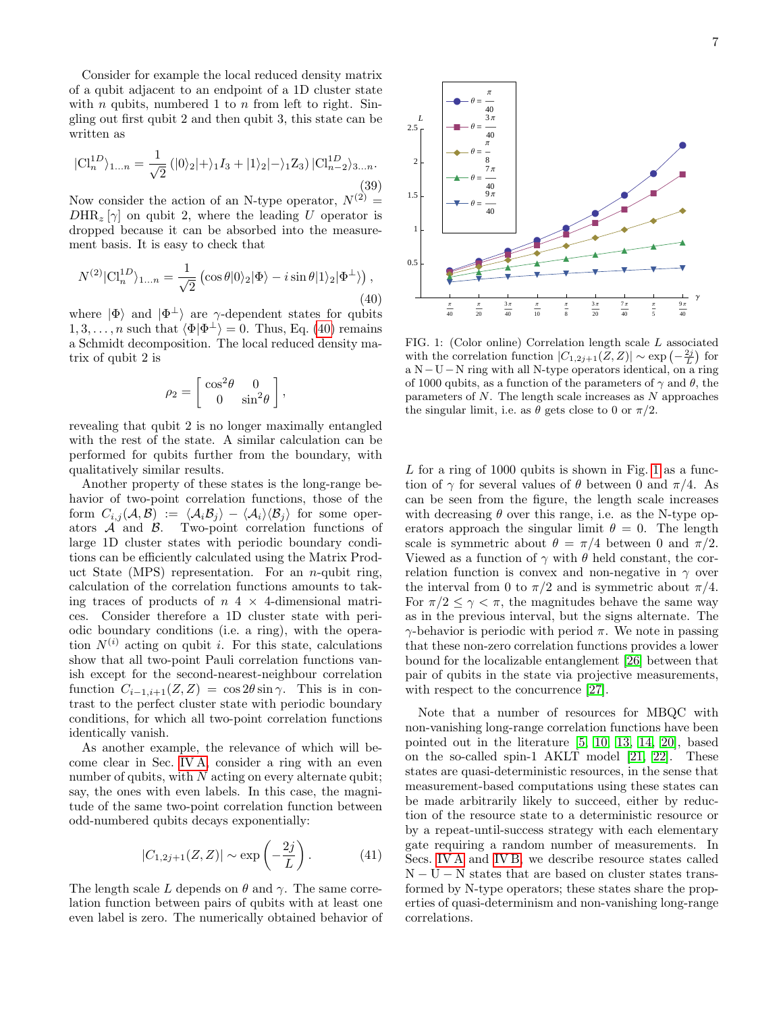Consider for example the local reduced density matrix of a qubit adjacent to an endpoint of a 1D cluster state with *n* qubits, numbered 1 to *n* from left to right. Singling out first qubit 2 and then qubit 3, this state can be written as

$$
|\mathrm{Cl}_{n}^{1D}\rangle_{1...n} = \frac{1}{\sqrt{2}} \left( |0\rangle_{2}| + \rangle_{1} I_{3} + |1\rangle_{2}| - \rangle_{1} \mathrm{Z}_{3} \right) |\mathrm{Cl}_{n-2}^{1D}\rangle_{3...n}.
$$
\n(39)

Now consider the action of an N-type operator,  $N^{(2)} =$  $DHR_z[\gamma]$  on qubit 2, where the leading U operator is dropped because it can be absorbed into the measurement basis. It is easy to check that

<span id="page-6-0"></span>
$$
N^{(2)}|\mathcal{Cl}_n^{1D}\rangle_{1...n} = \frac{1}{\sqrt{2}} \left( \cos \theta |0\rangle_2 |\Phi\rangle - i \sin \theta |1\rangle_2 |\Phi^{\perp}\rangle \right),\tag{40}
$$

where  $|\Phi\rangle$  and  $|\Phi^{\perp}\rangle$  are  $\gamma$ -dependent states for qubits  $1, 3, \ldots, n$  such that  $\langle \Phi | \Phi^{\perp} \rangle = 0$ . Thus, Eq. [\(40\)](#page-6-0) remains a Schmidt decomposition. The local reduced density matrix of qubit 2 is

$$
\rho_2 = \begin{bmatrix} \cos^2 \theta & 0 \\ 0 & \sin^2 \theta \end{bmatrix},
$$

revealing that qubit 2 is no longer maximally entangled with the rest of the state. A similar calculation can be performed for qubits further from the boundary, with qualitatively similar results.

Another property of these states is the long-range behavior of two-point correlation functions, those of the form  $C_{i,j}(\mathcal{A}, \mathcal{B}) := \langle \mathcal{A}_i \mathcal{B}_j \rangle - \langle \mathcal{A}_i \rangle \langle \mathcal{B}_j \rangle$  for some operators  $A$  and  $B$ . Two-point correlation functions of large 1D cluster states with periodic boundary conditions can be efficiently calculated using the Matrix Product State (MPS) representation. For an *n*-qubit ring, calculation of the correlation functions amounts to taking traces of products of  $n \leq 4$   $\prec$  4-dimensional matrices. Consider therefore a 1D cluster state with periodic boundary conditions (i.e. a ring), with the operation  $N^{(i)}$  acting on qubit *i*. For this state, calculations show that all two-point Pauli correlation functions vanish except for the second-nearest-neighbour correlation function  $C_{i-1,i+1}(Z, Z) = \cos 2\theta \sin \gamma$ . This is in contrast to the perfect cluster state with periodic boundary conditions, for which all two-point correlation functions identically vanish.

As another example, the relevance of which will become clear in Sec. [IV A,](#page-9-1) consider a ring with an even number of qubits, with  $N$  acting on every alternate qubit; say, the ones with even labels. In this case, the magnitude of the same two-point correlation function between odd-numbered qubits decays exponentially:

$$
|C_{1,2j+1}(Z,Z)| \sim \exp\left(-\frac{2j}{L}\right). \tag{41}
$$

The length scale L depends on  $\theta$  and  $\gamma$ . The same correlation function between pairs of qubits with at least one even label is zero. The numerically obtained behavior of



<span id="page-6-1"></span>FIG. 1: (Color online) Correlation length scale L associated with the correlation function  $|C_{1,2j+1}(Z,Z)| \sim \exp\left(-\frac{2j}{L}\right)$  for a N−U−N ring with all N-type operators identical, on a ring of 1000 qubits, as a function of the parameters of  $\gamma$  and  $\theta$ , the parameters of  $N$ . The length scale increases as  $N$  approaches the singular limit, i.e. as  $\theta$  gets close to 0 or  $\pi/2$ .

 $L$  for a ring of [1](#page-6-1)000 qubits is shown in Fig. 1 as a function of  $\gamma$  for several values of  $\theta$  between 0 and  $\pi/4$ . As can be seen from the figure, the length scale increases with decreasing  $\theta$  over this range, i.e. as the N-type operators approach the singular limit  $\theta = 0$ . The length scale is symmetric about  $\theta = \pi/4$  between 0 and  $\pi/2$ . Viewed as a function of  $\gamma$  with  $\theta$  held constant, the correlation function is convex and non-negative in  $\gamma$  over the interval from 0 to  $\pi/2$  and is symmetric about  $\pi/4$ . For  $\pi/2 \leq \gamma < \pi$ , the magnitudes behave the same way as in the previous interval, but the signs alternate. The  $γ$ -behavior is periodic with period π. We note in passing that these non-zero correlation functions provides a lower bound for the localizable entanglement [\[26\]](#page-15-12) between that pair of qubits in the state via projective measurements, with respect to the concurrence [\[27\]](#page-15-13).

Note that a number of resources for MBQC with non-vanishing long-range correlation functions have been pointed out in the literature [\[5,](#page-14-4) [10,](#page-14-9) [13,](#page-15-14) [14,](#page-15-0) [20\]](#page-15-6), based on the so-called spin-1 AKLT model [\[21,](#page-15-7) [22\]](#page-15-8). These states are quasi-deterministic resources, in the sense that measurement-based computations using these states can be made arbitrarily likely to succeed, either by reduction of the resource state to a deterministic resource or by a repeat-until-success strategy with each elementary gate requiring a random number of measurements. In Secs. [IV A](#page-9-1) and [IV B,](#page-10-0) we describe resource states called  $N - U - N$  states that are based on cluster states transformed by N-type operators; these states share the properties of quasi-determinism and non-vanishing long-range correlations.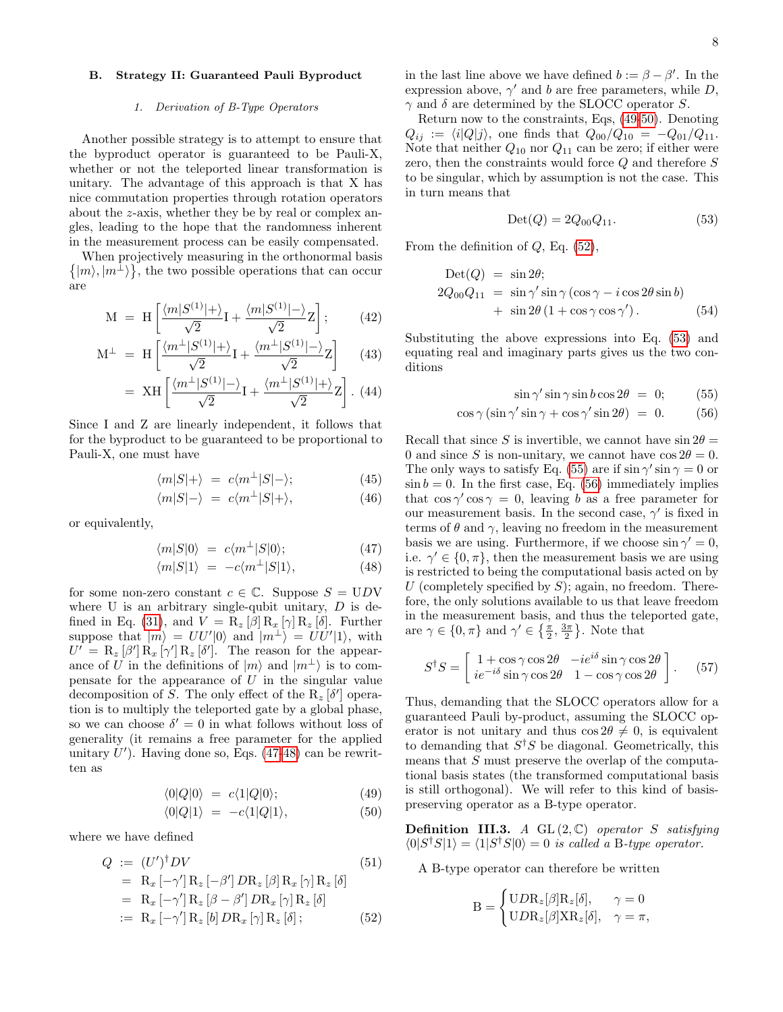### <span id="page-7-0"></span>B. Strategy II: Guaranteed Pauli Byproduct

#### 1. Derivation of B-Type Operators

Another possible strategy is to attempt to ensure that the byproduct operator is guaranteed to be Pauli-X, whether or not the teleported linear transformation is unitary. The advantage of this approach is that X has nice commutation properties through rotation operators about the z-axis, whether they be by real or complex angles, leading to the hope that the randomness inherent in the measurement process can be easily compensated.

When projectively measuring in the orthonormal basis  $\{|m\rangle, |m^{\perp}\rangle\}$ , the two possible operations that can occur are

$$
M = H\left[\frac{\langle m|S^{(1)}|+\rangle}{\sqrt{2}}I + \frac{\langle m|S^{(1)}|-\rangle}{\sqrt{2}}Z\right];\qquad(42)
$$

$$
\mathbf{M}^{\perp} = \mathbf{H} \left[ \frac{\langle m^{\perp} | S^{(1)} | + \rangle}{\sqrt{2}} \mathbf{I} + \frac{\langle m^{\perp} | S^{(1)} | - \rangle}{\sqrt{2}} \mathbf{Z} \right] \tag{43}
$$

$$
= \overline{\mathrm{XH}} \left[ \frac{\langle m^{\perp} | S^{(1)} | \mathbf{u} \rangle}{\sqrt{2}} \mathbf{I} + \frac{\langle m^{\perp} | S^{(1)} | \mathbf{u} \rangle}{\sqrt{2}} \mathbf{Z} \right]. \tag{44}
$$

Since I and Z are linearly independent, it follows that for the byproduct to be guaranteed to be proportional to Pauli-X, one must have

$$
\langle m|S|+\rangle = c\langle m^{\perp}|S|-\rangle; \tag{45}
$$

$$
\langle m|S|-\rangle = c\langle m^{\perp}|S|+\rangle, \tag{46}
$$

or equivalently,

$$
\langle m|S|0\rangle = c\langle m^{\perp}|S|0\rangle; \tag{47}
$$

<span id="page-7-1"></span>
$$
\langle m|S|1\rangle = -c\langle m^{\perp}|S|1\rangle, \tag{48}
$$

for some non-zero constant  $c \in \mathbb{C}$ . Suppose  $S = UDV$ where U is an arbitrary single-qubit unitary,  $D$  is de-fined in Eq. [\(31\)](#page-5-0), and  $V = R_z [\beta] R_x [\gamma] R_z [\delta]$ . Further suppose that  $|m\rangle = UU'|0\rangle$  and  $|m^{\perp}\rangle = UU'|1\rangle$ , with  $U' = R_z [\beta'] R_x [\gamma'] R_z [\delta']$ . The reason for the appearance of U in the definitions of  $|m\rangle$  and  $|m^{\perp}\rangle$  is to compensate for the appearance of  $U$  in the singular value decomposition of S. The only effect of the  $R_z[\delta']$  operation is to multiply the teleported gate by a global phase, so we can choose  $\delta' = 0$  in what follows without loss of generality (it remains a free parameter for the applied unitary  $U'$ ). Having done so, Eqs. [\(47-48\)](#page-7-1) can be rewritten as

$$
\langle 0|Q|0\rangle = c\langle 1|Q|0\rangle; \tag{49}
$$

<span id="page-7-2"></span>
$$
\langle 0|Q|1\rangle = -c\langle 1|Q|1\rangle, \tag{50}
$$

where we have defined

<span id="page-7-3"></span>
$$
Q := (U')^{\dagger} DV
$$
\n
$$
= R_x [-\gamma'] R_z [-\beta'] DR_z [\beta] R_x [\gamma] R_z [\delta]
$$
\n
$$
= R_x [-\gamma'] R_z [\beta - \beta'] DR_x [\gamma] R_z [\delta]
$$
\n
$$
:= R_x [-\gamma'] R_z [\delta] DR_x [\gamma] R_z [\delta];
$$
\n(52)

in the last line above we have defined  $b := \beta - \beta'$ . In the expression above,  $\gamma'$  and b are free parameters, while D,  $\gamma$  and  $\delta$  are determined by the SLOCC operator S.

Return now to the constraints, Eqs, [\(49-50\)](#page-7-2). Denoting  $Q_{ij} := \langle i|Q|j\rangle$ , one finds that  $Q_{00}/Q_{10} = -Q_{01}/Q_{11}$ . Note that neither  $Q_{10}$  nor  $Q_{11}$  can be zero; if either were zero, then the constraints would force  $Q$  and therefore  $S$ to be singular, which by assumption is not the case. This in turn means that

<span id="page-7-4"></span>
$$
Det(Q) = 2Q_{00}Q_{11}.
$$
 (53)

From the definition of  $Q$ , Eq.  $(52)$ ,

$$
\begin{aligned} \text{Det}(Q) &= \sin 2\theta; \\ 2Q_{00}Q_{11} &= \sin \gamma' \sin \gamma \left(\cos \gamma - i \cos 2\theta \sin b\right) \\ &+ \sin 2\theta \left(1 + \cos \gamma \cos \gamma'\right). \end{aligned} \tag{54}
$$

Substituting the above expressions into Eq. [\(53\)](#page-7-4) and equating real and imaginary parts gives us the two conditions

<span id="page-7-5"></span>
$$
\sin \gamma' \sin \gamma \sin b \cos 2\theta = 0; \qquad (55)
$$

$$
\cos \gamma (\sin \gamma' \sin \gamma + \cos \gamma' \sin 2\theta) = 0. \quad (56)
$$

Recall that since S is invertible, we cannot have  $\sin 2\theta =$ 0 and since S is non-unitary, we cannot have  $\cos 2\theta = 0$ . The only ways to satisfy Eq. [\(55\)](#page-7-5) are if  $\sin \gamma' \sin \gamma = 0$  or  $\sin b = 0$ . In the first case, Eq. [\(56\)](#page-7-5) immediately implies that  $\cos \gamma' \cos \gamma = 0$ , leaving b as a free parameter for our measurement basis. In the second case,  $\gamma'$  is fixed in terms of  $\theta$  and  $\gamma$ , leaving no freedom in the measurement basis we are using. Furthermore, if we choose  $\sin \gamma' = 0$ , i.e.  $\gamma' \in \{0, \pi\}$ , then the measurement basis we are using is restricted to being the computational basis acted on by U (completely specified by  $S$ ); again, no freedom. Therefore, the only solutions available to us that leave freedom in the measurement basis, and thus the teleported gate, are  $\gamma \in \{0, \pi\}$  and  $\gamma' \in \{\frac{\pi}{2}, \frac{3\pi}{2}\}.$  Note that

$$
S^{\dagger}S = \begin{bmatrix} 1 + \cos \gamma \cos 2\theta & -ie^{i\delta} \sin \gamma \cos 2\theta \\ ie^{-i\delta} \sin \gamma \cos 2\theta & 1 - \cos \gamma \cos 2\theta \end{bmatrix}.
$$
 (57)

Thus, demanding that the SLOCC operators allow for a guaranteed Pauli by-product, assuming the SLOCC operator is not unitary and thus  $\cos 2\theta \neq 0$ , is equivalent to demanding that  $S^{\dagger}S$  be diagonal. Geometrically, this means that S must preserve the overlap of the computational basis states (the transformed computational basis is still orthogonal). We will refer to this kind of basispreserving operator as a B-type operator.

**Definition III.3.** A GL $(2, \mathbb{C})$  operator S satisfying  $\langle 0|S^{\dagger}S|1\rangle = \langle 1|S^{\dagger}S|0\rangle = 0$  is called a B-type operator.

A B-type operator can therefore be written

<span id="page-7-6"></span>
$$
B = \begin{cases} UDR_z[\beta]R_z[\delta], & \gamma = 0\\ UDR_z[\beta]XR_z[\delta], & \gamma = \pi, \end{cases}
$$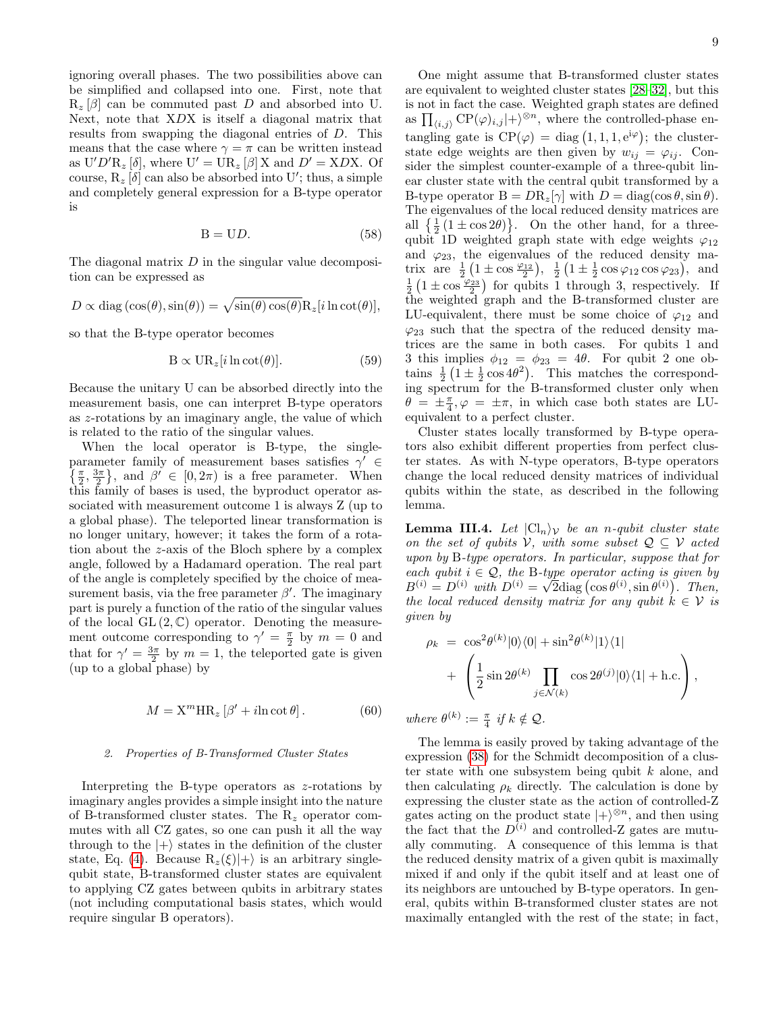ignoring overall phases. The two possibilities above can be simplified and collapsed into one. First, note that  $R_z [\beta]$  can be commuted past D and absorbed into U. Next, note that XDX is itself a diagonal matrix that results from swapping the diagonal entries of D. This means that the case where  $\gamma = \pi$  can be written instead as  $U'D'R_z [\delta]$ , where  $U' = UR_z [\beta] X$  and  $D' = XDX$ . Of course,  $R_z[\delta]$  can also be absorbed into U'; thus, a simple and completely general expression for a B-type operator is

$$
B = UD.
$$
 (58)

The diagonal matrix  $D$  in the singular value decomposition can be expressed as

$$
D \propto \text{diag}(\cos(\theta), \sin(\theta)) = \sqrt{\sin(\theta)\cos(\theta)} R_z[i\ln\cot(\theta)],
$$

so that the B-type operator becomes

<span id="page-8-2"></span>
$$
B \propto UR_z[i \ln \cot(\theta)].\tag{59}
$$

Because the unitary U can be absorbed directly into the measurement basis, one can interpret B-type operators as z-rotations by an imaginary angle, the value of which is related to the ratio of the singular values.

When the local operator is B-type, the singleparameter family of measurement bases satisfies  $\gamma' \in$  $\{\frac{\pi}{2}, \frac{3\pi}{2}\}\$ , and  $\beta' \in [0, 2\pi)$  is a free parameter. When this family of bases is used, the byproduct operator associated with measurement outcome 1 is always Z (up to a global phase). The teleported linear transformation is no longer unitary, however; it takes the form of a rotation about the z-axis of the Bloch sphere by a complex angle, followed by a Hadamard operation. The real part of the angle is completely specified by the choice of measurement basis, via the free parameter  $\beta'$ . The imaginary part is purely a function of the ratio of the singular values of the local  $GL(2,\mathbb{C})$  operator. Denoting the measurement outcome corresponding to  $\gamma' = \frac{\pi}{2}$  by  $m = 0$  and that for  $\gamma' = \frac{3\pi}{2}$  by  $m = 1$ , the teleported gate is given (up to a global phase) by

<span id="page-8-1"></span>
$$
M = \mathbf{X}^m \mathbf{H} \mathbf{R}_z \left[ \beta' + i \ln \cot \theta \right]. \tag{60}
$$

# 2. Properties of B-Transformed Cluster States

Interpreting the B-type operators as z-rotations by imaginary angles provides a simple insight into the nature of B-transformed cluster states. The  $R_z$  operator commutes with all CZ gates, so one can push it all the way through to the  $|+\rangle$  states in the definition of the cluster state, Eq. [\(4\)](#page-1-2). Because  $R_z(\xi)|+\rangle$  is an arbitrary singlequbit state, B-transformed cluster states are equivalent to applying CZ gates between qubits in arbitrary states (not including computational basis states, which would require singular B operators).

One might assume that B-transformed cluster states are equivalent to weighted cluster states [\[28–](#page-15-15)[32\]](#page-15-16), but this is not in fact the case. Weighted graph states are defined as  $\prod_{\langle i,j\rangle} \text{CP}(\varphi)_{i,j} |+\rangle^{\otimes n}$ , where the controlled-phase entangling gate is  $CP(\varphi) = \text{diag}(1, 1, 1, e^{i\varphi})$ ; the clusterstate edge weights are then given by  $w_{ij} = \varphi_{ij}$ . Consider the simplest counter-example of a three-qubit linear cluster state with the central qubit transformed by a B-type operator  $B = DR_z[\gamma]$  with  $D = diag(\cos \theta, \sin \theta)$ . The eigenvalues of the local reduced density matrices are all  $\left\{\frac{1}{2}(1 \pm \cos 2\theta)\right\}$ . On the other hand, for a threequbit 1D weighted graph state with edge weights  $\varphi_{12}$ and  $\varphi_{23}$ , the eigenvalues of the reduced density matrix are  $\frac{1}{2} (1 \pm \cos \frac{\varphi_{12}}{2}), \frac{1}{2} (1 \pm \frac{1}{2} \cos \varphi_{12} \cos \varphi_{23}),$  and  $\frac{1}{2}$   $\left(1 \pm \cos \frac{\varphi_{23}}{2}\right)$  for qubits 1 through 3, respectively. If the weighted graph and the B-transformed cluster are LU-equivalent, there must be some choice of  $\varphi_{12}$  and  $\varphi_{23}$  such that the spectra of the reduced density matrices are the same in both cases. For qubits 1 and 3 this implies  $\phi_{12} = \phi_{23} = 4\theta$ . For qubit 2 one obtains  $\frac{1}{2} (1 \pm \frac{1}{2} \cos 4\theta^2)$ . This matches the corresponding spectrum for the B-transformed cluster only when  $\theta = \pm \frac{\pi}{4}, \varphi = \pm \pi$ , in which case both states are LUequivalent to a perfect cluster.

Cluster states locally transformed by B-type operators also exhibit different properties from perfect cluster states. As with N-type operators, B-type operators change the local reduced density matrices of individual qubits within the state, as described in the following lemma.

<span id="page-8-0"></span>**Lemma III.4.** Let  $|Cl_n\rangle_{\mathcal{V}}$  be an n-qubit cluster state on the set of qubits V, with some subset  $\mathcal{Q} \subseteq \mathcal{V}$  acted upon by B-type operators. In particular, suppose that for each qubit  $i \in \mathcal{Q}$ , the B-type operator acting is given by  $B^{(i)} = D^{(i)}$  with  $D^{(i)} = \sqrt{2}$ diag  $(\cos \theta^{(i)}, \sin \theta^{(i)})$ . Then, the local reduced density matrix for any qubit  $k \in V$  is given by

$$
\rho_k = \cos^2 \theta^{(k)} |0\rangle\langle 0| + \sin^2 \theta^{(k)} |1\rangle\langle 1|
$$
  
+ 
$$
\left(\frac{1}{2}\sin 2\theta^{(k)} \prod_{j \in \mathcal{N}(k)} \cos 2\theta^{(j)} |0\rangle\langle 1| + \text{h.c.}\right),
$$

where  $\theta^{(k)} := \frac{\pi}{4}$  if  $k \notin \mathcal{Q}$ .

The lemma is easily proved by taking advantage of the expression [\(38\)](#page-5-1) for the Schmidt decomposition of a cluster state with one subsystem being qubit  $k$  alone, and then calculating  $\rho_k$  directly. The calculation is done by expressing the cluster state as the action of controlled-Z gates acting on the product state  $|+\rangle^{\otimes n}$ , and then using the fact that the  $D^{(i)}$  and controlled-Z gates are mutually commuting. A consequence of this lemma is that the reduced density matrix of a given qubit is maximally mixed if and only if the qubit itself and at least one of its neighbors are untouched by B-type operators. In general, qubits within B-transformed cluster states are not maximally entangled with the rest of the state; in fact,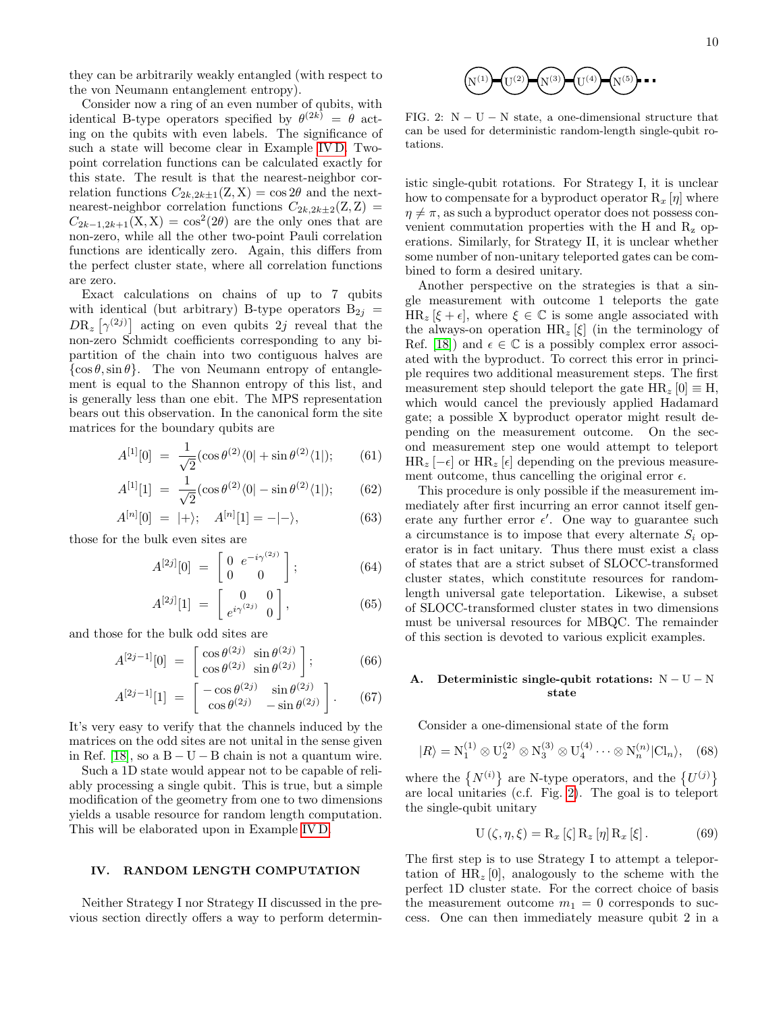they can be arbitrarily weakly entangled (with respect to the von Neumann entanglement entropy).

Consider now a ring of an even number of qubits, with identical B-type operators specified by  $\theta^{(2k)} = \theta$  acting on the qubits with even labels. The significance of such a state will become clear in Example [IV D.](#page-12-0) Twopoint correlation functions can be calculated exactly for this state. The result is that the nearest-neighbor correlation functions  $C_{2k,2k\pm1}(Z,X) = \cos 2\theta$  and the nextnearest-neighbor correlation functions  $C_{2k,2k\pm 2}(Z, Z)$  =  $C_{2k-1,2k+1}(X,X) = \cos^2(2\theta)$  are the only ones that are non-zero, while all the other two-point Pauli correlation functions are identically zero. Again, this differs from the perfect cluster state, where all correlation functions are zero.

Exact calculations on chains of up to 7 qubits with identical (but arbitrary) B-type operators  $B_{2j}$  =  $DR_z \left[ \gamma^{(2j)} \right]$  acting on even qubits 2j reveal that the non-zero Schmidt coefficients corresponding to any bipartition of the chain into two contiguous halves are  $\{\cos \theta, \sin \theta\}$ . The von Neumann entropy of entanglement is equal to the Shannon entropy of this list, and is generally less than one ebit. The MPS representation bears out this observation. In the canonical form the site matrices for the boundary qubits are

$$
A^{[1]}[0] = \frac{1}{\sqrt{2}} (\cos \theta^{(2)} \langle 0 | + \sin \theta^{(2)} \langle 1 | ), \qquad (61)
$$

$$
A^{[1]}[1] = \frac{1}{\sqrt{2}} (\cos \theta^{(2)} \langle 0 | - \sin \theta^{(2)} \langle 1 |); \qquad (62)
$$

$$
A^{[n]}[0] = |+\rangle; \quad A^{[n]}[1] = -|-\rangle,\tag{63}
$$

those for the bulk even sites are

$$
A^{[2j]}[0] = \begin{bmatrix} 0 & e^{-i\gamma^{(2j)}} \\ 0 & 0 \end{bmatrix}; \tag{64}
$$

$$
A^{[2j]}[1] = \begin{bmatrix} 0 & 0 \\ e^{i\gamma^{(2j)}} & 0 \end{bmatrix}, \tag{65}
$$

and those for the bulk odd sites are

$$
A^{[2j-1]}[0] = \begin{bmatrix} \cos \theta^{(2j)} & \sin \theta^{(2j)} \\ \cos \theta^{(2j)} & \sin \theta^{(2j)} \end{bmatrix}; \tag{66}
$$

$$
A^{[2j-1]}[1] = \begin{bmatrix} -\cos\theta^{(2j)} & \sin\theta^{(2j)} \\ \cos\theta^{(2j)} & -\sin\theta^{(2j)} \end{bmatrix}.
$$
 (67)

It's very easy to verify that the channels induced by the matrices on the odd sites are not unital in the sense given in Ref. [\[18\]](#page-15-4), so a  $B - U - B$  chain is not a quantum wire.

Such a 1D state would appear not to be capable of reliably processing a single qubit. This is true, but a simple modification of the geometry from one to two dimensions yields a usable resource for random length computation. This will be elaborated upon in Example [IV D.](#page-12-0)

# <span id="page-9-0"></span>IV. RANDOM LENGTH COMPUTATION

Neither Strategy I nor Strategy II discussed in the previous section directly offers a way to perform determin-

<span id="page-9-2"></span>

FIG. 2:  $N - U - N$  state, a one-dimensional structure that can be used for deterministic random-length single-qubit rotations.

istic single-qubit rotations. For Strategy I, it is unclear how to compensate for a byproduct operator  $R_x[\eta]$  where  $\eta \neq \pi$ , as such a byproduct operator does not possess convenient commutation properties with the H and  $R_z$  operations. Similarly, for Strategy II, it is unclear whether some number of non-unitary teleported gates can be combined to form a desired unitary.

Another perspective on the strategies is that a single measurement with outcome 1 teleports the gate  $HR_z [\xi + \epsilon]$ , where  $\xi \in \mathbb{C}$  is some angle associated with the always-on operation  $HR_z \left[\xi\right]$  (in the terminology of Ref. [\[18\]](#page-15-4)) and  $\epsilon \in \mathbb{C}$  is a possibly complex error associated with the byproduct. To correct this error in principle requires two additional measurement steps. The first measurement step should teleport the gate HR<sub>z</sub>  $[0] \equiv H$ , which would cancel the previously applied Hadamard gate; a possible X byproduct operator might result depending on the measurement outcome. On the second measurement step one would attempt to teleport  $HR_z [-\epsilon]$  or  $HR_z [\epsilon]$  depending on the previous measurement outcome, thus cancelling the original error  $\epsilon$ .

This procedure is only possible if the measurement immediately after first incurring an error cannot itself generate any further error  $\epsilon'$ . One way to guarantee such a circumstance is to impose that every alternate  $S_i$  operator is in fact unitary. Thus there must exist a class of states that are a strict subset of SLOCC-transformed cluster states, which constitute resources for randomlength universal gate teleportation. Likewise, a subset of SLOCC-transformed cluster states in two dimensions must be universal resources for MBQC. The remainder of this section is devoted to various explicit examples.

# <span id="page-9-1"></span>A. Deterministic single-qubit rotations:  $N - U - N$ state

Consider a one-dimensional state of the form

$$
|R\rangle = \mathcal{N}_1^{(1)} \otimes \mathcal{U}_2^{(2)} \otimes \mathcal{N}_3^{(3)} \otimes \mathcal{U}_4^{(4)} \cdots \otimes \mathcal{N}_n^{(n)} | \mathcal{C} \mathcal{L}_n \rangle, \quad (68)
$$

where the  $\{N^{(i)}\}$  are N-type operators, and the  $\{U^{(j)}\}$ are local unitaries (c.f. Fig. [2\)](#page-9-2). The goal is to teleport the single-qubit unitary

$$
U(\zeta, \eta, \xi) = R_x [\zeta] R_z [\eta] R_x [\xi]. \qquad (69)
$$

The first step is to use Strategy I to attempt a teleportation of  $HR_z$  [0], analogously to the scheme with the perfect 1D cluster state. For the correct choice of basis the measurement outcome  $m_1 = 0$  corresponds to success. One can then immediately measure qubit 2 in a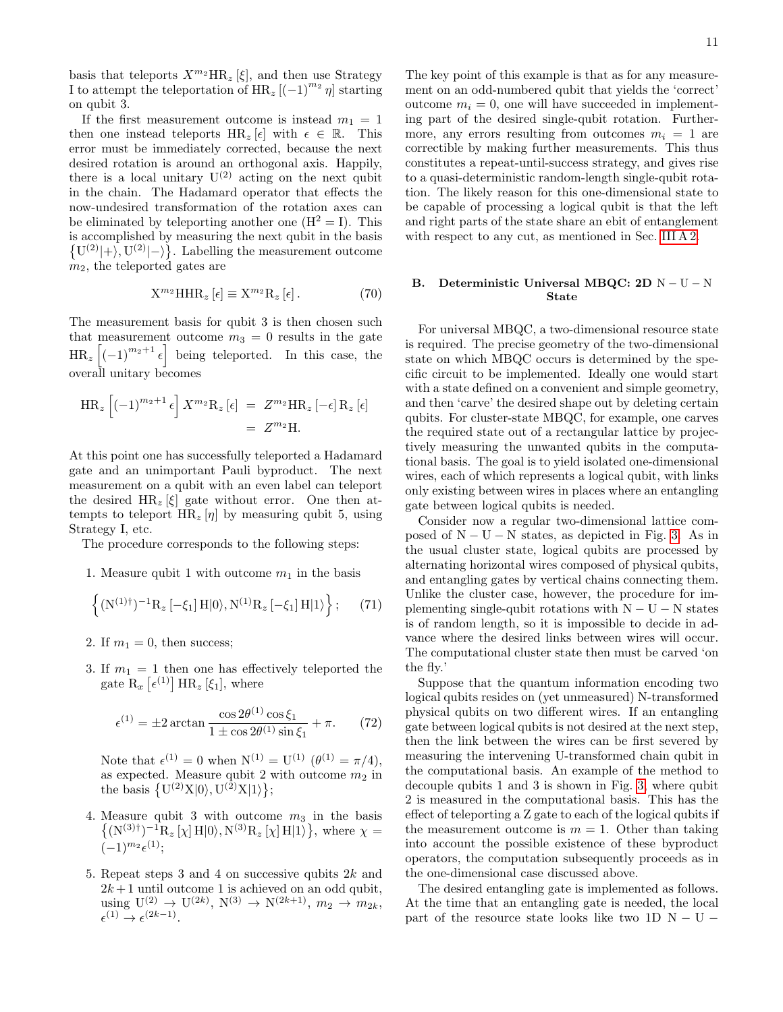basis that teleports  $X^{m_2}$ HR<sub>z</sub> [ $\xi$ ], and then use Strategy I to attempt the teleportation of  $HR_z\left[(-1)^{m_2}\eta\right]$  starting on qubit 3.

If the first measurement outcome is instead  $m_1 = 1$ then one instead teleports  $HR_z[\epsilon]$  with  $\epsilon \in \mathbb{R}$ . This error must be immediately corrected, because the next desired rotation is around an orthogonal axis. Happily, there is a local unitary  $U^{(2)}$  acting on the next qubit in the chain. The Hadamard operator that effects the now-undesired transformation of the rotation axes can be eliminated by teleporting another one  $(H^2 = I)$ . This is accomplished by measuring the next qubit in the basis  $\{U^{(2)}|+\rangle, U^{(2)}|-\rangle\}$ . Labelling the measurement outcome  $m_2$ , the teleported gates are

$$
X^{m_2}HHR_z\left[\epsilon\right] \equiv X^{m_2}R_z\left[\epsilon\right].\tag{70}
$$

The measurement basis for qubit 3 is then chosen such that measurement outcome  $m_3 = 0$  results in the gate  $HR_z\left[(-1)^{m_2+1}\epsilon\right]$  being teleported. In this case, the overall unitary becomes

$$
HR_z \left[ (-1)^{m_2+1} \epsilon \right] X^{m_2} R_z \left[ \epsilon \right] = Z^{m_2} HR_z \left[ -\epsilon \right] R_z \left[ \epsilon \right]
$$
  
= 
$$
Z^{m_2} H.
$$

At this point one has successfully teleported a Hadamard gate and an unimportant Pauli byproduct. The next measurement on a qubit with an even label can teleport the desired  $HR_z [\xi]$  gate without error. One then attempts to teleport  $HR_z[\eta]$  by measuring qubit 5, using Strategy I, etc.

The procedure corresponds to the following steps:

1. Measure qubit 1 with outcome  $m_1$  in the basis

<span id="page-10-1"></span>
$$
\{(N^{(1)\dagger})^{-1}R_z [-\xi_1] H | 0 \rangle, N^{(1)}R_z [-\xi_1] H | 1 \rangle \}; \quad (71)
$$

- 2. If  $m_1 = 0$ , then success;
- 3. If  $m_1 = 1$  then one has effectively teleported the gate  $R_x \left[ \epsilon^{(1)} \right] HR_z \left[ \xi_1 \right]$ , where

<span id="page-10-2"></span>
$$
\epsilon^{(1)} = \pm 2 \arctan \frac{\cos 2\theta^{(1)} \cos \xi_1}{1 \pm \cos 2\theta^{(1)} \sin \xi_1} + \pi.
$$
 (72)

Note that  $\epsilon^{(1)} = 0$  when  $N^{(1)} = U^{(1)}$   $(\theta^{(1)} = \pi/4)$ , as expected. Measure qubit 2 with outcome  $m_2$  in the basis  $\{U^{(2)}X|0\rangle, U^{(2)}X|1\rangle\};$ 

- 4. Measure qubit 3 with outcome  $m_3$  in the basis  $\{(\mathbf{N}^{(3)\dagger})^{-1}\mathbf{R}_{z}[\chi]\,\mathbf{H}|0\rangle, \mathbf{N}^{(3)}\mathbf{R}_{z}[\chi]\,\mathbf{H}|1\rangle\},\,\text{where}\,\,\chi=$  $(-1)^{m_2} \epsilon^{(1)};$
- 5. Repeat steps 3 and 4 on successive qubits  $2k$  and  $2k+1$  until outcome 1 is achieved on an odd qubit, using  $U^{(2)} \to U^{(2k)}$ ,  $N^{(3)} \to N^{(2k+1)}$ ,  $m_2 \to m_{2k}$ ,  $\epsilon^{(1)} \rightarrow \epsilon^{(2k-1)}$ .

The key point of this example is that as for any measurement on an odd-numbered qubit that yields the 'correct' outcome  $m_i = 0$ , one will have succeeded in implementing part of the desired single-qubit rotation. Furthermore, any errors resulting from outcomes  $m_i = 1$  are correctible by making further measurements. This thus constitutes a repeat-until-success strategy, and gives rise to a quasi-deterministic random-length single-qubit rotation. The likely reason for this one-dimensional state to be capable of processing a logical qubit is that the left and right parts of the state share an ebit of entanglement with respect to any cut, as mentioned in Sec. [III A 2.](#page-5-2)

# <span id="page-10-0"></span>B. Deterministic Universal MBQC:  $2D N - U - N$ State

For universal MBQC, a two-dimensional resource state is required. The precise geometry of the two-dimensional state on which MBQC occurs is determined by the specific circuit to be implemented. Ideally one would start with a state defined on a convenient and simple geometry, and then 'carve' the desired shape out by deleting certain qubits. For cluster-state MBQC, for example, one carves the required state out of a rectangular lattice by projectively measuring the unwanted qubits in the computational basis. The goal is to yield isolated one-dimensional wires, each of which represents a logical qubit, with links only existing between wires in places where an entangling gate between logical qubits is needed.

Consider now a regular two-dimensional lattice composed of  $N - U - N$  states, as depicted in Fig. [3.](#page-11-0) As in the usual cluster state, logical qubits are processed by alternating horizontal wires composed of physical qubits, and entangling gates by vertical chains connecting them. Unlike the cluster case, however, the procedure for implementing single-qubit rotations with  $N - U - N$  states is of random length, so it is impossible to decide in advance where the desired links between wires will occur. The computational cluster state then must be carved 'on the fly.'

Suppose that the quantum information encoding two logical qubits resides on (yet unmeasured) N-transformed physical qubits on two different wires. If an entangling gate between logical qubits is not desired at the next step, then the link between the wires can be first severed by measuring the intervening U-transformed chain qubit in the computational basis. An example of the method to decouple qubits 1 and 3 is shown in Fig. [3,](#page-11-0) where qubit 2 is measured in the computational basis. This has the effect of teleporting a Z gate to each of the logical qubits if the measurement outcome is  $m = 1$ . Other than taking into account the possible existence of these byproduct operators, the computation subsequently proceeds as in the one-dimensional case discussed above.

The desired entangling gate is implemented as follows. At the time that an entangling gate is needed, the local part of the resource state looks like two 1D  $N - U -$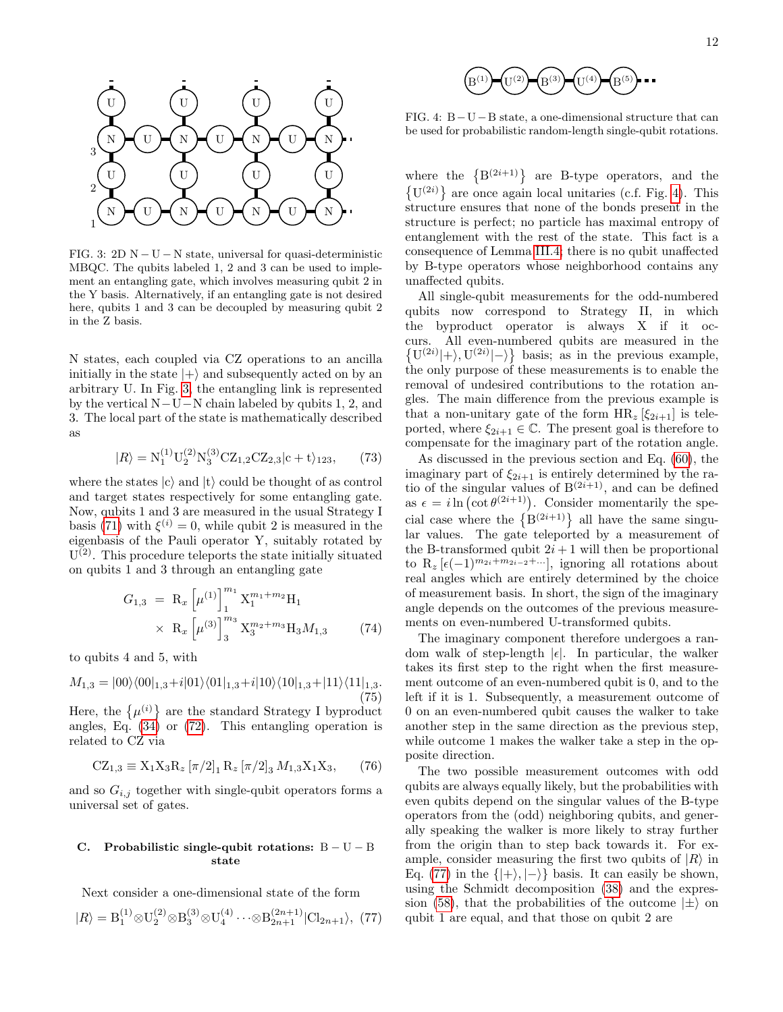

<span id="page-11-0"></span>FIG. 3: 2D N  $-$  U  $-$  N state, universal for quasi-deterministic MBQC. The qubits labeled 1, 2 and 3 can be used to implement an entangling gate, which involves measuring qubit 2 in the Y basis. Alternatively, if an entangling gate is not desired here, qubits 1 and 3 can be decoupled by measuring qubit 2 in the Z basis.

N states, each coupled via CZ operations to an ancilla initially in the state  $|+\rangle$  and subsequently acted on by an arbitrary U. In Fig. [3,](#page-11-0) the entangling link is represented by the vertical N−U−N chain labeled by qubits 1, 2, and 3. The local part of the state is mathematically described as

$$
|R\rangle = N_1^{(1)} U_2^{(2)} N_3^{(3)} C Z_{1,2} C Z_{2,3} |c+t\rangle_{123}, \qquad (73)
$$

where the states  $|c\rangle$  and  $|t\rangle$  could be thought of as control and target states respectively for some entangling gate. Now, qubits 1 and 3 are measured in the usual Strategy I basis [\(71\)](#page-10-1) with  $\xi^{(i)} = 0$ , while qubit 2 is measured in the eigenbasis of the Pauli operator Y, suitably rotated by  $U^{(2)}$ . This procedure teleports the state initially situated on qubits 1 and 3 through an entangling gate

$$
G_{1,3} = R_x \left[ \mu^{(1)} \right]_1^{m_1} X_1^{m_1 + m_2} H_1
$$
  
 
$$
\times R_x \left[ \mu^{(3)} \right]_3^{m_3} X_3^{m_2 + m_3} H_3 M_{1,3}
$$
 (74)

to qubits 4 and 5, with

$$
M_{1,3} = |00\rangle\langle00|_{1,3} + i|01\rangle\langle01|_{1,3} + i|10\rangle\langle10|_{1,3} + |11\rangle\langle11|_{1,3}. \tag{75}
$$

Here, the  $\{\mu^{(i)}\}$  are the standard Strategy I byproduct angles, Eq.  $(34)$  or  $(72)$ . This entangling operation is related to CZ via

$$
CZ_{1,3} \equiv X_1 X_3 R_z [\pi/2]_1 R_z [\pi/2]_3 M_{1,3} X_1 X_3, \qquad (76)
$$

and so  $G_{i,j}$  together with single-qubit operators forms a universal set of gates.

# C. Probabilistic single-qubit rotations:  $B - U - B$ state

Next consider a one-dimensional state of the form

<span id="page-11-2"></span>
$$
|R\rangle = \mathcal{B}_1^{(1)} \otimes \mathcal{U}_2^{(2)} \otimes \mathcal{B}_3^{(3)} \otimes \mathcal{U}_4^{(4)} \cdots \otimes \mathcal{B}_{2n+1}^{(2n+1)} |C_{2n+1}\rangle, (77)
$$

<span id="page-11-1"></span>

FIG. 4: B−U−B state, a one-dimensional structure that can be used for probabilistic random-length single-qubit rotations.

where the  ${B^{(2i+1)}}$  are B-type operators, and the  $\{U^{(2i)}\}\$ are once again local unitaries (c.f. Fig. [4\)](#page-11-1). This structure ensures that none of the bonds present in the structure is perfect; no particle has maximal entropy of entanglement with the rest of the state. This fact is a consequence of Lemma [III.4;](#page-8-0) there is no qubit unaffected by B-type operators whose neighborhood contains any unaffected qubits.

All single-qubit measurements for the odd-numbered qubits now correspond to Strategy II, in which the byproduct operator is always X if it occurs. All even-numbered qubits are measured in the  $\{U^{(2i)}|+\rangle, U^{(2i)}|-\rangle\}$  basis; as in the previous example, the only purpose of these measurements is to enable the removal of undesired contributions to the rotation angles. The main difference from the previous example is that a non-unitary gate of the form  $HR_z [\xi_{2i+1}]$  is teleported, where  $\xi_{2i+1} \in \mathbb{C}$ . The present goal is therefore to compensate for the imaginary part of the rotation angle.

As discussed in the previous section and Eq. [\(60\)](#page-8-1), the imaginary part of  $\xi_{2i+1}$  is entirely determined by the ratio of the singular values of  $B^{(2i+1)}$ , and can be defined as  $\epsilon = i \ln \left( \cot \theta^{(2i+1)} \right)$ . Consider momentarily the special case where the  ${B^{(2i+1)}}$  all have the same singular values. The gate teleported by a measurement of the B-transformed qubit  $2i + 1$  will then be proportional to R<sub>z</sub>  $[\epsilon(-1)^{m_{2i}+m_{2i-2}+\ldots}]$ , ignoring all rotations about real angles which are entirely determined by the choice of measurement basis. In short, the sign of the imaginary angle depends on the outcomes of the previous measurements on even-numbered U-transformed qubits.

The imaginary component therefore undergoes a random walk of step-length  $|\epsilon|$ . In particular, the walker takes its first step to the right when the first measurement outcome of an even-numbered qubit is 0, and to the left if it is 1. Subsequently, a measurement outcome of 0 on an even-numbered qubit causes the walker to take another step in the same direction as the previous step, while outcome 1 makes the walker take a step in the opposite direction.

The two possible measurement outcomes with odd qubits are always equally likely, but the probabilities with even qubits depend on the singular values of the B-type operators from the (odd) neighboring qubits, and generally speaking the walker is more likely to stray further from the origin than to step back towards it. For example, consider measuring the first two qubits of  $|R\rangle$  in Eq. [\(77\)](#page-11-2) in the  $\{|\rangle, |\rangle\}$  basis. It can easily be shown, using the Schmidt decomposition [\(38\)](#page-5-1) and the expres-sion [\(58\)](#page-7-6), that the probabilities of the outcome  $|\pm\rangle$  on qubit 1 are equal, and that those on qubit 2 are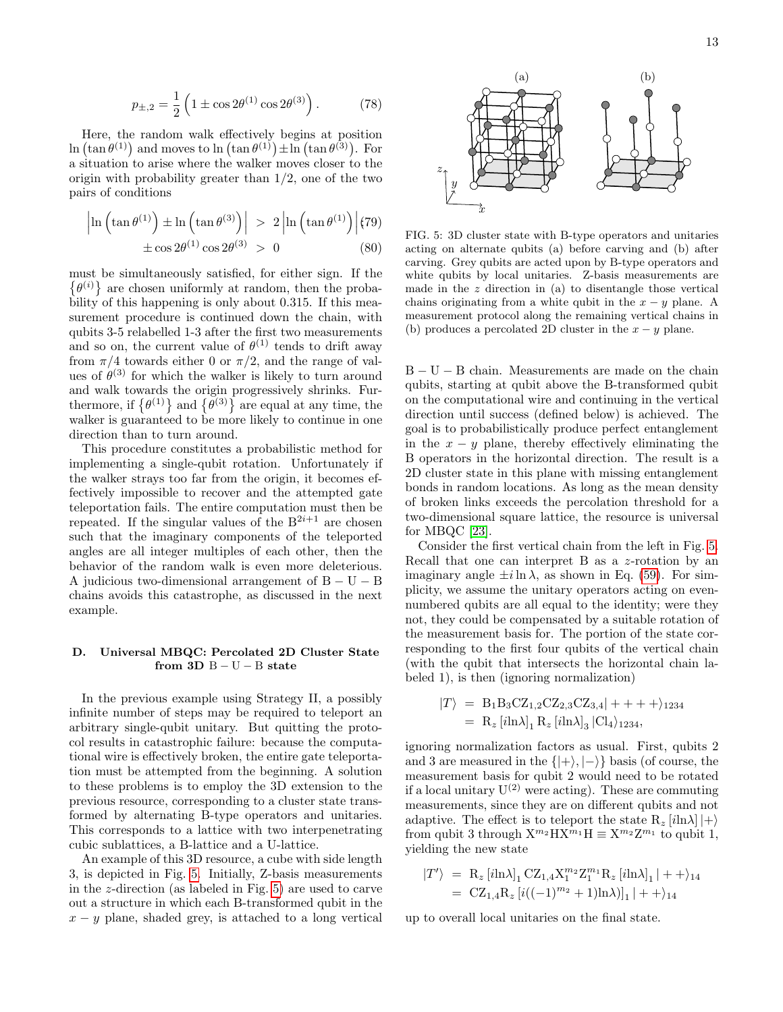$$
p_{\pm,2} = \frac{1}{2} \left( 1 \pm \cos 2\theta^{(1)} \cos 2\theta^{(3)} \right). \tag{78}
$$

Here, the random walk effectively begins at position ln  $(\tan \theta^{(1)})$  and moves to ln  $(\tan \theta^{(1)}) \pm \ln (\tan \theta^{(3)})$ . For a situation to arise where the walker moves closer to the origin with probability greater than  $1/2$ , one of the two pairs of conditions

$$
\left| \ln \left( \tan \theta^{(1)} \right) \pm \ln \left( \tan \theta^{(3)} \right) \right| > 2 \left| \ln \left( \tan \theta^{(1)} \right) \right| \tag{79} \n\pm \cos 2\theta^{(1)} \cos 2\theta^{(3)} > 0
$$
\n(80)

must be simultaneously satisfied, for either sign. If the  $\{\theta^{(i)}\}$  are chosen uniformly at random, then the probability of this happening is only about 0.315. If this measurement procedure is continued down the chain, with qubits 3-5 relabelled 1-3 after the first two measurements and so on, the current value of  $\theta^{(1)}$  tends to drift away from  $\pi/4$  towards either 0 or  $\pi/2$ , and the range of values of  $\theta^{(3)}$  for which the walker is likely to turn around and walk towards the origin progressively shrinks. Furthermore, if  $\{\theta^{(1)}\}$  and  $\{\theta^{(3)}\}$  are equal at any time, the walker is guaranteed to be more likely to continue in one direction than to turn around.

This procedure constitutes a probabilistic method for implementing a single-qubit rotation. Unfortunately if the walker strays too far from the origin, it becomes effectively impossible to recover and the attempted gate teleportation fails. The entire computation must then be repeated. If the singular values of the  $B^{2i+1}$  are chosen such that the imaginary components of the teleported angles are all integer multiples of each other, then the behavior of the random walk is even more deleterious. A judicious two-dimensional arrangement of  $B - U - B$ chains avoids this catastrophe, as discussed in the next example.

# <span id="page-12-0"></span>D. Universal MBQC: Percolated 2D Cluster State from  $3D B - U - B$  state

In the previous example using Strategy II, a possibly infinite number of steps may be required to teleport an arbitrary single-qubit unitary. But quitting the protocol results in catastrophic failure: because the computational wire is effectively broken, the entire gate teleportation must be attempted from the beginning. A solution to these problems is to employ the 3D extension to the previous resource, corresponding to a cluster state transformed by alternating B-type operators and unitaries. This corresponds to a lattice with two interpenetrating cubic sublattices, a B-lattice and a U-lattice.

An example of this 3D resource, a cube with side length 3, is depicted in Fig. [5.](#page-12-1) Initially, Z-basis measurements in the z-direction (as labeled in Fig. [5\)](#page-12-1) are used to carve out a structure in which each B-transformed qubit in the  $x - y$  plane, shaded grey, is attached to a long vertical



<span id="page-12-1"></span>FIG. 5: 3D cluster state with B-type operators and unitaries acting on alternate qubits (a) before carving and (b) after carving. Grey qubits are acted upon by B-type operators and white qubits by local unitaries. Z-basis measurements are made in the  $z$  direction in (a) to disentangle those vertical chains originating from a white qubit in the  $x - y$  plane. A measurement protocol along the remaining vertical chains in (b) produces a percolated 2D cluster in the  $x - y$  plane.

B − U − B chain. Measurements are made on the chain qubits, starting at qubit above the B-transformed qubit on the computational wire and continuing in the vertical direction until success (defined below) is achieved. The goal is to probabilistically produce perfect entanglement in the  $x - y$  plane, thereby effectively eliminating the B operators in the horizontal direction. The result is a 2D cluster state in this plane with missing entanglement bonds in random locations. As long as the mean density of broken links exceeds the percolation threshold for a two-dimensional square lattice, the resource is universal for MBQC [\[23\]](#page-15-9).

Consider the first vertical chain from the left in Fig. [5.](#page-12-1) Recall that one can interpret B as a z-rotation by an imaginary angle  $\pm i \ln \lambda$ , as shown in Eq. [\(59\)](#page-8-2). For simplicity, we assume the unitary operators acting on evennumbered qubits are all equal to the identity; were they not, they could be compensated by a suitable rotation of the measurement basis for. The portion of the state corresponding to the first four qubits of the vertical chain (with the qubit that intersects the horizontal chain labeled 1), is then (ignoring normalization)

$$
|T\rangle = B_1 B_3 C Z_{1,2} C Z_{2,3} C Z_{3,4}| ++++\rangle_{1234}
$$
  
= R<sub>z</sub> [iln $\lambda$ ] <sub>1</sub> R<sub>z</sub> [iln $\lambda$ ] <sub>3</sub> |Cl<sub>4</sub> \rangle<sub>1234</sub>,

ignoring normalization factors as usual. First, qubits 2 and 3 are measured in the  $\{|\rangle, |\rangle\}$  basis (of course, the measurement basis for qubit 2 would need to be rotated if a local unitary  $U^{(2)}$  were acting). These are commuting measurements, since they are on different qubits and not adaptive. The effect is to teleport the state  $R_z[i\pi\lambda]+i\pi$ from qubit 3 through  $X^{m_2}H X^{m_1}H \equiv X^{m_2}Z^{m_1}$  to qubit 1, yielding the new state

$$
|T'\rangle = R_z [i \ln \lambda]_1 C Z_{1,4} X_1^{m_2} Z_1^{m_1} R_z [i \ln \lambda]_1 | ++ \rangle_{14}
$$
  
= C Z\_{1,4} R\_z [i((-1)^{m\_2} + 1) \ln \lambda)]\_1 | ++ \rangle\_{14}

up to overall local unitaries on the final state.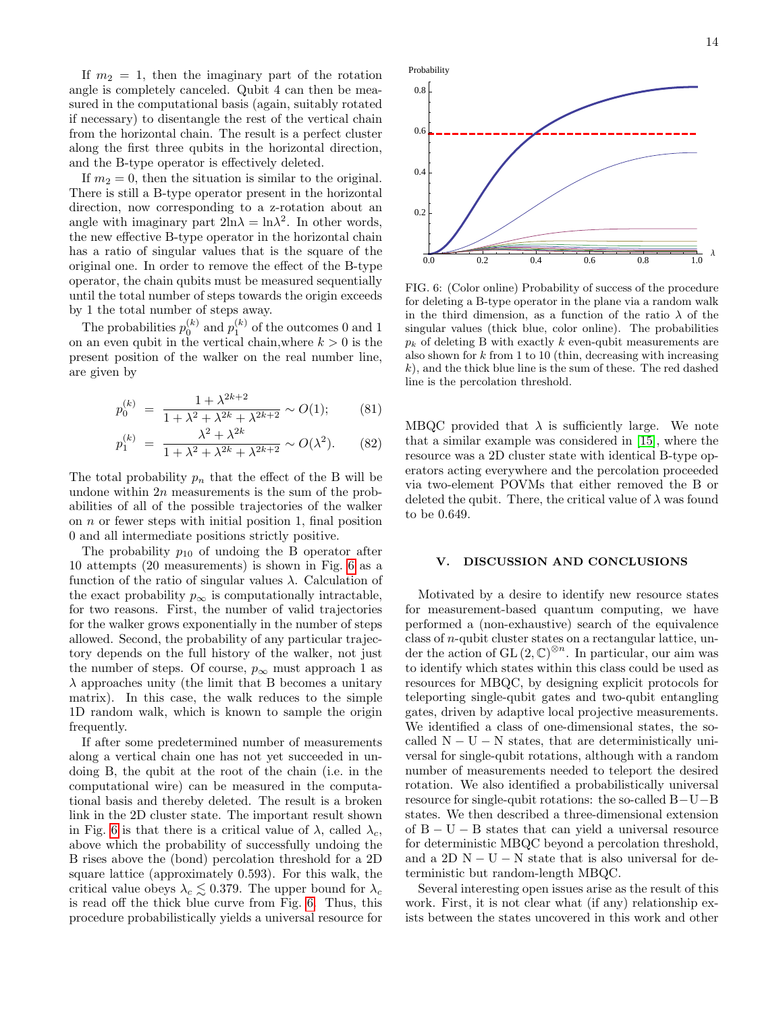If  $m_2 = 1$ , then the imaginary part of the rotation angle is completely canceled. Qubit 4 can then be measured in the computational basis (again, suitably rotated if necessary) to disentangle the rest of the vertical chain from the horizontal chain. The result is a perfect cluster along the first three qubits in the horizontal direction, and the B-type operator is effectively deleted.

If  $m_2 = 0$ , then the situation is similar to the original. There is still a B-type operator present in the horizontal direction, now corresponding to a z-rotation about an angle with imaginary part  $2\ln\lambda = \ln\lambda^2$ . In other words, the new effective B-type operator in the horizontal chain has a ratio of singular values that is the square of the original one. In order to remove the effect of the B-type operator, the chain qubits must be measured sequentially until the total number of steps towards the origin exceeds by 1 the total number of steps away.

The probabilities  $p_0^{(k)}$  and  $p_1^{(k)}$  of the outcomes 0 and 1 on an even qubit in the vertical chain, where  $k > 0$  is the present position of the walker on the real number line, are given by

$$
p_0^{(k)} = \frac{1 + \lambda^{2k+2}}{1 + \lambda^2 + \lambda^{2k} + \lambda^{2k+2}} \sim O(1); \qquad (81)
$$

$$
p_1^{(k)} = \frac{\lambda^2 + \lambda^{2k}}{1 + \lambda^2 + \lambda^{2k} + \lambda^{2k+2}} \sim O(\lambda^2). \tag{82}
$$

The total probability  $p_n$  that the effect of the B will be undone within  $2n$  measurements is the sum of the probabilities of all of the possible trajectories of the walker on  $n$  or fewer steps with initial position 1, final position 0 and all intermediate positions strictly positive.

The probability  $p_{10}$  of undoing the B operator after 10 attempts (20 measurements) is shown in Fig. [6](#page-13-1) as a function of the ratio of singular values  $\lambda$ . Calculation of the exact probability  $p_{\infty}$  is computationally intractable, for two reasons. First, the number of valid trajectories for the walker grows exponentially in the number of steps allowed. Second, the probability of any particular trajectory depends on the full history of the walker, not just the number of steps. Of course,  $p_{\infty}$  must approach 1 as  $\lambda$  approaches unity (the limit that B becomes a unitary matrix). In this case, the walk reduces to the simple 1D random walk, which is known to sample the origin frequently.

If after some predetermined number of measurements along a vertical chain one has not yet succeeded in undoing B, the qubit at the root of the chain (i.e. in the computational wire) can be measured in the computational basis and thereby deleted. The result is a broken link in the 2D cluster state. The important result shown in Fig. [6](#page-13-1) is that there is a critical value of  $\lambda$ , called  $\lambda_c$ , above which the probability of successfully undoing the B rises above the (bond) percolation threshold for a 2D square lattice (approximately 0.593). For this walk, the critical value obeys  $\lambda_c \lesssim 0.379$ . The upper bound for  $\lambda_c$ is read off the thick blue curve from Fig. [6.](#page-13-1) Thus, this procedure probabilistically yields a universal resource for



<span id="page-13-1"></span>FIG. 6: (Color online) Probability of success of the procedure for deleting a B-type operator in the plane via a random walk in the third dimension, as a function of the ratio  $\lambda$  of the singular values (thick blue, color online). The probabilities  $p_k$  of deleting B with exactly k even-qubit measurements are also shown for  $k$  from 1 to 10 (thin, decreasing with increasing  $k$ , and the thick blue line is the sum of these. The red dashed line is the percolation threshold.

MBQC provided that  $\lambda$  is sufficiently large. We note that a similar example was considered in [\[15\]](#page-15-1), where the resource was a 2D cluster state with identical B-type operators acting everywhere and the percolation proceeded via two-element POVMs that either removed the B or deleted the qubit. There, the critical value of  $\lambda$  was found to be 0.649.

# <span id="page-13-0"></span>V. DISCUSSION AND CONCLUSIONS

Motivated by a desire to identify new resource states for measurement-based quantum computing, we have performed a (non-exhaustive) search of the equivalence class of n-qubit cluster states on a rectangular lattice, under the action of  $GL(2,\mathbb{C})^{\otimes n}$ . In particular, our aim was to identify which states within this class could be used as resources for MBQC, by designing explicit protocols for teleporting single-qubit gates and two-qubit entangling gates, driven by adaptive local projective measurements. We identified a class of one-dimensional states, the socalled  $N - U - N$  states, that are deterministically universal for single-qubit rotations, although with a random number of measurements needed to teleport the desired rotation. We also identified a probabilistically universal resource for single-qubit rotations: the so-called B−U−B states. We then described a three-dimensional extension of  $B - U - B$  states that can yield a universal resource for deterministic MBQC beyond a percolation threshold, and a 2D  $N - U - N$  state that is also universal for deterministic but random-length MBQC.

Several interesting open issues arise as the result of this work. First, it is not clear what (if any) relationship exists between the states uncovered in this work and other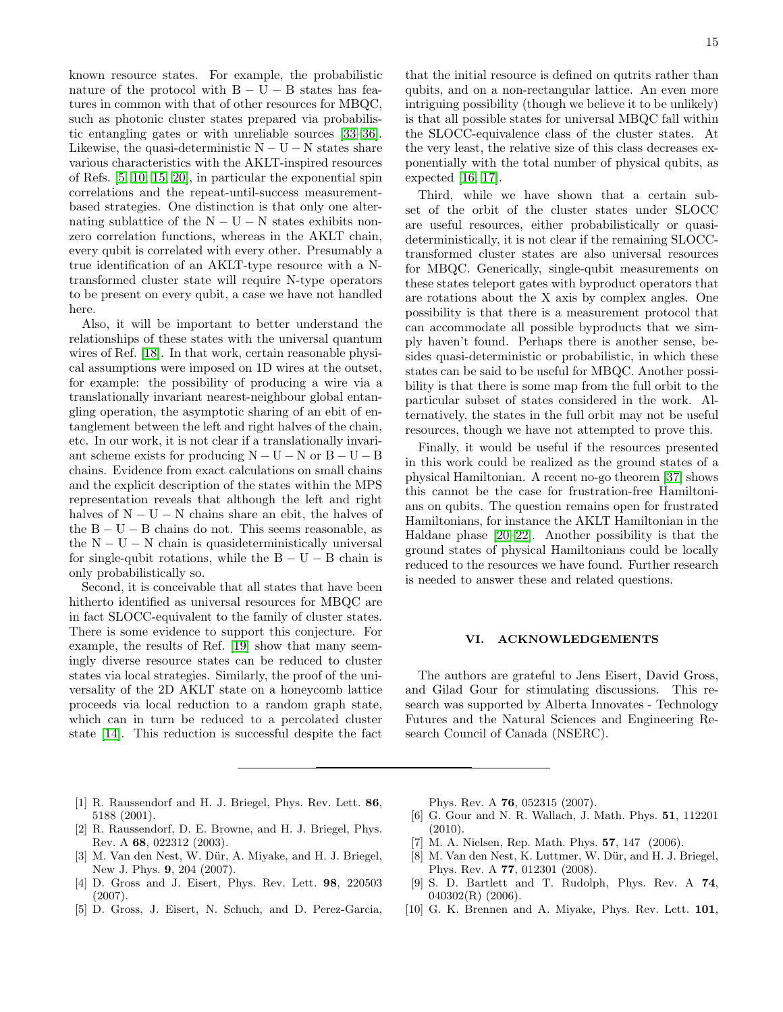known resource states. For example, the probabilistic nature of the protocol with  $B - U - B$  states has features in common with that of other resources for MBQC, such as photonic cluster states prepared via probabilistic entangling gates or with unreliable sources [\[33–](#page-15-17)[36\]](#page-15-18). Likewise, the quasi-deterministic  $N - U - N$  states share various characteristics with the AKLT-inspired resources of Refs. [\[5,](#page-14-4) [10,](#page-14-9) [15,](#page-15-1) [20\]](#page-15-6), in particular the exponential spin correlations and the repeat-until-success measurementbased strategies. One distinction is that only one alternating sublattice of the  $N - U - N$  states exhibits nonzero correlation functions, whereas in the AKLT chain, every qubit is correlated with every other. Presumably a true identification of an AKLT-type resource with a Ntransformed cluster state will require N-type operators to be present on every qubit, a case we have not handled here.

Also, it will be important to better understand the relationships of these states with the universal quantum wires of Ref. [\[18\]](#page-15-4). In that work, certain reasonable physical assumptions were imposed on 1D wires at the outset, for example: the possibility of producing a wire via a translationally invariant nearest-neighbour global entangling operation, the asymptotic sharing of an ebit of entanglement between the left and right halves of the chain, etc. In our work, it is not clear if a translationally invariant scheme exists for producing  $N - U - N$  or  $B - U - B$ chains. Evidence from exact calculations on small chains and the explicit description of the states within the MPS representation reveals that although the left and right halves of  $N - U - N$  chains share an ebit, the halves of the  $B - U - B$  chains do not. This seems reasonable, as the  $N - U - N$  chain is quasideterministically universal for single-qubit rotations, while the  $B - U - B$  chain is only probabilistically so.

Second, it is conceivable that all states that have been hitherto identified as universal resources for MBQC are in fact SLOCC-equivalent to the family of cluster states. There is some evidence to support this conjecture. For example, the results of Ref. [\[19\]](#page-15-5) show that many seemingly diverse resource states can be reduced to cluster states via local strategies. Similarly, the proof of the universality of the 2D AKLT state on a honeycomb lattice proceeds via local reduction to a random graph state, which can in turn be reduced to a percolated cluster state [\[14\]](#page-15-0). This reduction is successful despite the fact

that the initial resource is defined on qutrits rather than qubits, and on a non-rectangular lattice. An even more intriguing possibility (though we believe it to be unlikely) is that all possible states for universal MBQC fall within the SLOCC-equivalence class of the cluster states. At the very least, the relative size of this class decreases exponentially with the total number of physical qubits, as expected [\[16,](#page-15-2) [17\]](#page-15-3).

Third, while we have shown that a certain subset of the orbit of the cluster states under SLOCC are useful resources, either probabilistically or quasideterministically, it is not clear if the remaining SLOCCtransformed cluster states are also universal resources for MBQC. Generically, single-qubit measurements on these states teleport gates with byproduct operators that are rotations about the X axis by complex angles. One possibility is that there is a measurement protocol that can accommodate all possible byproducts that we simply haven't found. Perhaps there is another sense, besides quasi-deterministic or probabilistic, in which these states can be said to be useful for MBQC. Another possibility is that there is some map from the full orbit to the particular subset of states considered in the work. Alternatively, the states in the full orbit may not be useful resources, though we have not attempted to prove this.

Finally, it would be useful if the resources presented in this work could be realized as the ground states of a physical Hamiltonian. A recent no-go theorem [\[37\]](#page-15-19) shows this cannot be the case for frustration-free Hamiltonians on qubits. The question remains open for frustrated Hamiltonians, for instance the AKLT Hamiltonian in the Haldane phase [\[20](#page-15-6)[–22\]](#page-15-8). Another possibility is that the ground states of physical Hamiltonians could be locally reduced to the resources we have found. Further research is needed to answer these and related questions.

# VI. ACKNOWLEDGEMENTS

The authors are grateful to Jens Eisert, David Gross, and Gilad Gour for stimulating discussions. This research was supported by Alberta Innovates - Technology Futures and the Natural Sciences and Engineering Research Council of Canada (NSERC).

- <span id="page-14-0"></span>[1] R. Raussendorf and H. J. Briegel, Phys. Rev. Lett. 86, 5188 (2001).
- <span id="page-14-1"></span>[2] R. Raussendorf, D. E. Browne, and H. J. Briegel, Phys. Rev. A 68, 022312 (2003).
- <span id="page-14-2"></span>[3] M. Van den Nest, W. Dür, A. Miyake, and H. J. Briegel, New J. Phys. 9, 204 (2007).
- <span id="page-14-3"></span>[4] D. Gross and J. Eisert, Phys. Rev. Lett. 98, 220503 (2007).
- <span id="page-14-4"></span>[5] D. Gross, J. Eisert, N. Schuch, and D. Perez-Garcia,

Phys. Rev. A 76, 052315 (2007).

- <span id="page-14-5"></span>[6] G. Gour and N. R. Wallach, J. Math. Phys. 51, 112201  $(2010).$
- <span id="page-14-6"></span>[7] M. A. Nielsen, Rep. Math. Phys. 57, 147 (2006).
- <span id="page-14-7"></span>[8] M. Van den Nest, K. Luttmer, W. Dür, and H. J. Briegel, Phys. Rev. A 77, 012301 (2008).
- <span id="page-14-8"></span>[9] S. D. Bartlett and T. Rudolph, Phys. Rev. A 74,  $040302(R)$  (2006).
- <span id="page-14-9"></span>[10] G. K. Brennen and A. Miyake, Phys. Rev. Lett. 101,